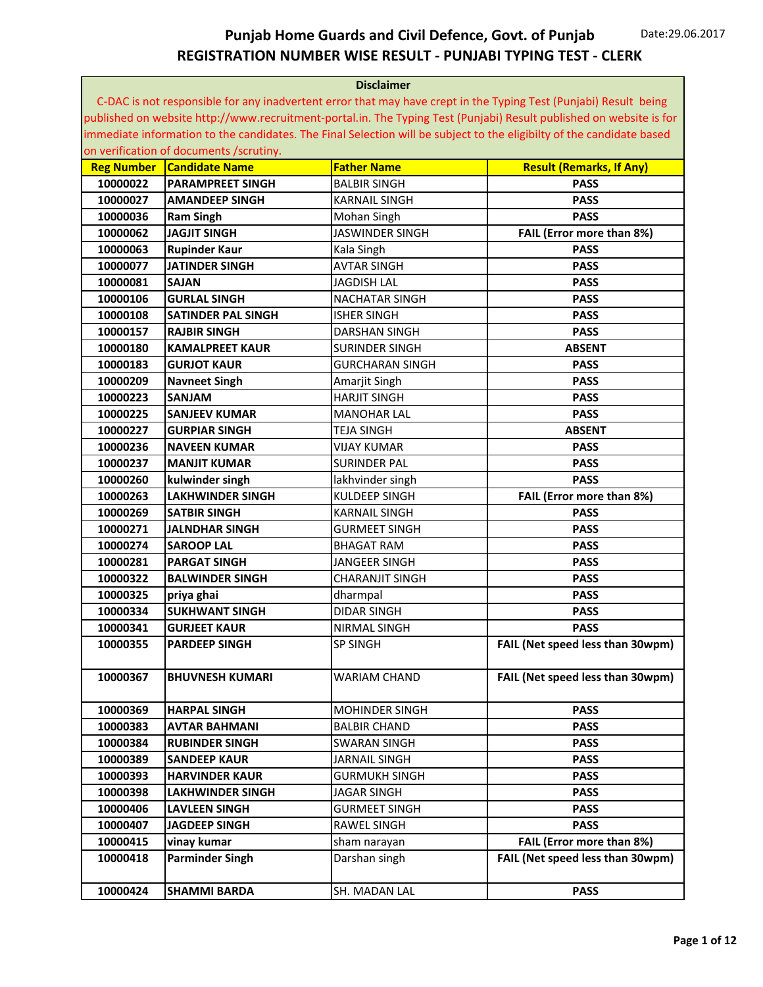|                   | <b>Disclaimer</b>                       |                        |                                                                                                                       |  |
|-------------------|-----------------------------------------|------------------------|-----------------------------------------------------------------------------------------------------------------------|--|
|                   |                                         |                        | C-DAC is not responsible for any inadvertent error that may have crept in the Typing Test (Punjabi) Result being      |  |
|                   |                                         |                        | published on website http://www.recruitment-portal.in. The Typing Test (Punjabi) Result published on website is for   |  |
|                   |                                         |                        | immediate information to the candidates. The Final Selection will be subject to the eligibilty of the candidate based |  |
|                   | on verification of documents /scrutiny. |                        |                                                                                                                       |  |
| <b>Reg Number</b> | <b>Candidate Name</b>                   | <b>Father Name</b>     | <b>Result (Remarks, If Any)</b>                                                                                       |  |
| 10000022          | <b>PARAMPREET SINGH</b>                 | <b>BALBIR SINGH</b>    | <b>PASS</b>                                                                                                           |  |
| 10000027          | <b>AMANDEEP SINGH</b>                   | <b>KARNAIL SINGH</b>   | <b>PASS</b>                                                                                                           |  |
| 10000036          | <b>Ram Singh</b>                        | Mohan Singh            | <b>PASS</b>                                                                                                           |  |
| 10000062          | <b>JAGJIT SINGH</b>                     | JASWINDER SINGH        | FAIL (Error more than 8%)                                                                                             |  |
| 10000063          | <b>Rupinder Kaur</b>                    | Kala Singh             | <b>PASS</b>                                                                                                           |  |
| 10000077          | <b>JATINDER SINGH</b>                   | <b>AVTAR SINGH</b>     | <b>PASS</b>                                                                                                           |  |
| 10000081          | <b>SAJAN</b>                            | <b>JAGDISH LAL</b>     | <b>PASS</b>                                                                                                           |  |
| 10000106          | <b>GURLAL SINGH</b>                     | <b>NACHATAR SINGH</b>  | <b>PASS</b>                                                                                                           |  |
| 10000108          | <b>SATINDER PAL SINGH</b>               | <b>ISHER SINGH</b>     | <b>PASS</b>                                                                                                           |  |
| 10000157          | <b>RAJBIR SINGH</b>                     | <b>DARSHAN SINGH</b>   | <b>PASS</b>                                                                                                           |  |
| 10000180          | <b>KAMALPREET KAUR</b>                  | SURINDER SINGH         | <b>ABSENT</b>                                                                                                         |  |
| 10000183          | <b>GURJOT KAUR</b>                      | <b>GURCHARAN SINGH</b> | <b>PASS</b>                                                                                                           |  |
| 10000209          | <b>Navneet Singh</b>                    | Amarjit Singh          | <b>PASS</b>                                                                                                           |  |
| 10000223          | <b>SANJAM</b>                           | <b>HARJIT SINGH</b>    | <b>PASS</b>                                                                                                           |  |
| 10000225          | <b>SANJEEV KUMAR</b>                    | <b>MANOHAR LAL</b>     | <b>PASS</b>                                                                                                           |  |
| 10000227          | <b>GURPIAR SINGH</b>                    | <b>TEJA SINGH</b>      | <b>ABSENT</b>                                                                                                         |  |
| 10000236          | NAVEEN KUMAR                            | <b>VIJAY KUMAR</b>     | <b>PASS</b>                                                                                                           |  |
| 10000237          | <b>MANJIT KUMAR</b>                     | <b>SURINDER PAL</b>    | <b>PASS</b>                                                                                                           |  |
| 10000260          | kulwinder singh                         | lakhvinder singh       | <b>PASS</b>                                                                                                           |  |
| 10000263          | <b>LAKHWINDER SINGH</b>                 | KULDEEP SINGH          | FAIL (Error more than 8%)                                                                                             |  |
| 10000269          | <b>SATBIR SINGH</b>                     | <b>KARNAIL SINGH</b>   | <b>PASS</b>                                                                                                           |  |
| 10000271          | JALNDHAR SINGH                          | <b>GURMEET SINGH</b>   | <b>PASS</b>                                                                                                           |  |
| 10000274          | <b>SAROOP LAL</b>                       | <b>BHAGAT RAM</b>      | <b>PASS</b>                                                                                                           |  |
| 10000281          | <b>PARGAT SINGH</b>                     | JANGEER SINGH          | <b>PASS</b>                                                                                                           |  |
| 10000322          | <b>BALWINDER SINGH</b>                  | <b>CHARANJIT SINGH</b> | <b>PASS</b>                                                                                                           |  |
| 10000325          | priya ghai                              | dharmpal               | <b>PASS</b>                                                                                                           |  |
| 10000334          | <b>SUKHWANT SINGH</b>                   | <b>DIDAR SINGH</b>     | <b>PASS</b>                                                                                                           |  |
| 10000341          | <b>GURJEET KAUR</b>                     | NIRMAL SINGH           | <b>PASS</b>                                                                                                           |  |
| 10000355          | <b>PARDEEP SINGH</b>                    | <b>SP SINGH</b>        | FAIL (Net speed less than 30wpm)                                                                                      |  |
| 10000367          | <b>BHUVNESH KUMARI</b>                  | WARIAM CHAND           | FAIL (Net speed less than 30wpm)                                                                                      |  |
| 10000369          | <b>HARPAL SINGH</b>                     | <b>MOHINDER SINGH</b>  | <b>PASS</b>                                                                                                           |  |
| 10000383          | <b>AVTAR BAHMANI</b>                    | <b>BALBIR CHAND</b>    | <b>PASS</b>                                                                                                           |  |
| 10000384          | <b>RUBINDER SINGH</b>                   | SWARAN SINGH           | <b>PASS</b>                                                                                                           |  |
| 10000389          | <b>SANDEEP KAUR</b>                     | <b>JARNAIL SINGH</b>   | <b>PASS</b>                                                                                                           |  |
| 10000393          | <b>HARVINDER KAUR</b>                   | GURMUKH SINGH          | <b>PASS</b>                                                                                                           |  |
| 10000398          | <b>LAKHWINDER SINGH</b>                 | JAGAR SINGH            | <b>PASS</b>                                                                                                           |  |
| 10000406          | <b>LAVLEEN SINGH</b>                    | <b>GURMEET SINGH</b>   | <b>PASS</b>                                                                                                           |  |
| 10000407          | <b>JAGDEEP SINGH</b>                    | RAWEL SINGH            | <b>PASS</b>                                                                                                           |  |
| 10000415          | vinay kumar                             | sham narayan           | FAIL (Error more than 8%)                                                                                             |  |
| 10000418          | <b>Parminder Singh</b>                  | Darshan singh          | FAIL (Net speed less than 30wpm)                                                                                      |  |
|                   |                                         |                        |                                                                                                                       |  |
| 10000424          | <b>SHAMMI BARDA</b>                     | SH. MADAN LAL          | <b>PASS</b>                                                                                                           |  |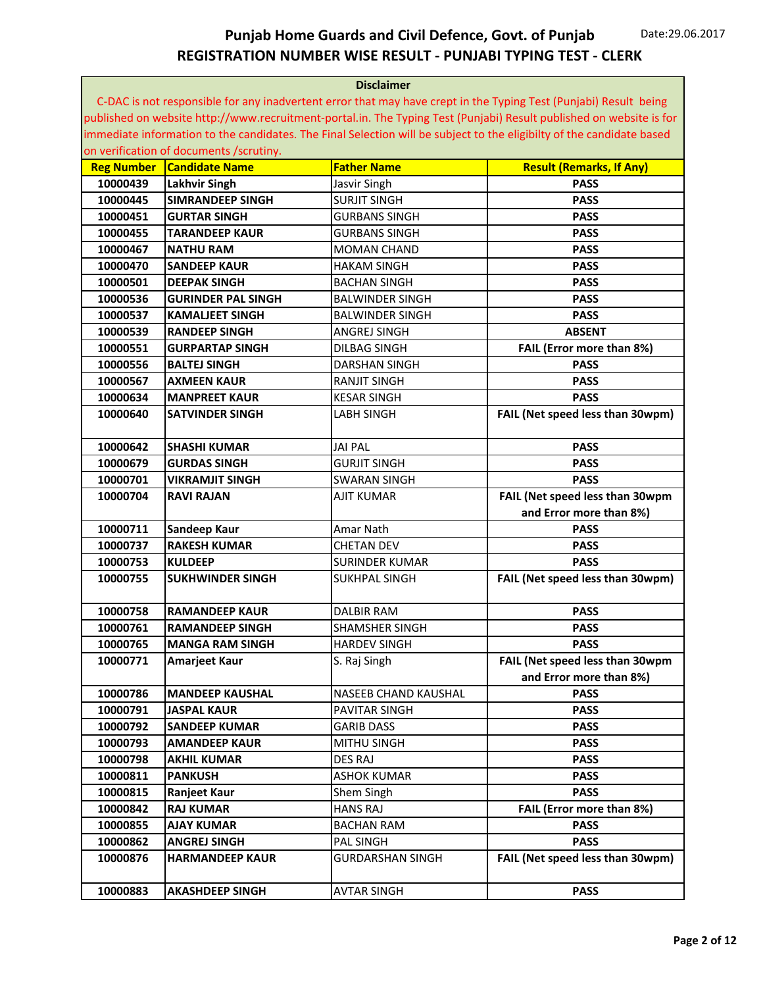| <b>Disclaimer</b> |                                         |                             |                                                                                                                       |
|-------------------|-----------------------------------------|-----------------------------|-----------------------------------------------------------------------------------------------------------------------|
|                   |                                         |                             | C-DAC is not responsible for any inadvertent error that may have crept in the Typing Test (Punjabi) Result being      |
|                   |                                         |                             | published on website http://www.recruitment-portal.in. The Typing Test (Punjabi) Result published on website is for   |
|                   |                                         |                             | immediate information to the candidates. The Final Selection will be subject to the eligibilty of the candidate based |
|                   | on verification of documents /scrutiny. |                             |                                                                                                                       |
| <b>Reg Number</b> | <b>Candidate Name</b>                   | <b>Father Name</b>          | <b>Result (Remarks, If Any)</b>                                                                                       |
| 10000439          | <b>Lakhvir Singh</b>                    | Jasvir Singh                | <b>PASS</b>                                                                                                           |
| 10000445          | <b>SIMRANDEEP SINGH</b>                 | <b>SURJIT SINGH</b>         | <b>PASS</b>                                                                                                           |
| 10000451          | <b>GURTAR SINGH</b>                     | <b>GURBANS SINGH</b>        | <b>PASS</b>                                                                                                           |
| 10000455          | <b>TARANDEEP KAUR</b>                   | <b>GURBANS SINGH</b>        | <b>PASS</b>                                                                                                           |
| 10000467          | <b>NATHU RAM</b>                        | <b>MOMAN CHAND</b>          | <b>PASS</b>                                                                                                           |
| 10000470          | <b>SANDEEP KAUR</b>                     | <b>HAKAM SINGH</b>          | <b>PASS</b>                                                                                                           |
| 10000501          | <b>DEEPAK SINGH</b>                     | BACHAN SINGH                | <b>PASS</b>                                                                                                           |
| 10000536          | <b>GURINDER PAL SINGH</b>               | BALWINDER SINGH             | <b>PASS</b>                                                                                                           |
| 10000537          | <b>KAMALJEET SINGH</b>                  | <b>BALWINDER SINGH</b>      | <b>PASS</b>                                                                                                           |
| 10000539          | <b>RANDEEP SINGH</b>                    | ANGREJ SINGH                | <b>ABSENT</b>                                                                                                         |
| 10000551          | <b>GURPARTAP SINGH</b>                  | <b>DILBAG SINGH</b>         | FAIL (Error more than 8%)                                                                                             |
| 10000556          | <b>BALTEJ SINGH</b>                     | <b>DARSHAN SINGH</b>        | <b>PASS</b>                                                                                                           |
| 10000567          | <b>AXMEEN KAUR</b>                      | <b>RANJIT SINGH</b>         | <b>PASS</b>                                                                                                           |
| 10000634          | <b>MANPREET KAUR</b>                    | <b>KESAR SINGH</b>          | <b>PASS</b>                                                                                                           |
| 10000640          | <b>SATVINDER SINGH</b>                  | <b>LABH SINGH</b>           | FAIL (Net speed less than 30wpm)                                                                                      |
|                   |                                         |                             |                                                                                                                       |
| 10000642          | <b>SHASHI KUMAR</b>                     | <b>JAI PAL</b>              | <b>PASS</b>                                                                                                           |
| 10000679          | <b>GURDAS SINGH</b>                     | <b>GURJIT SINGH</b>         | <b>PASS</b>                                                                                                           |
| 10000701          | <b>VIKRAMJIT SINGH</b>                  | <b>SWARAN SINGH</b>         | <b>PASS</b>                                                                                                           |
| 10000704          | <b>RAVI RAJAN</b>                       | AJIT KUMAR                  | FAIL (Net speed less than 30wpm                                                                                       |
|                   |                                         |                             | and Error more than 8%)                                                                                               |
| 10000711          | Sandeep Kaur                            | Amar Nath                   | <b>PASS</b>                                                                                                           |
| 10000737          | <b>RAKESH KUMAR</b>                     | <b>CHETAN DEV</b>           | <b>PASS</b>                                                                                                           |
| 10000753          | <b>KULDEEP</b>                          | <b>SURINDER KUMAR</b>       | <b>PASS</b>                                                                                                           |
| 10000755          | <b>SUKHWINDER SINGH</b>                 | <b>SUKHPAL SINGH</b>        | FAIL (Net speed less than 30wpm)                                                                                      |
|                   |                                         |                             |                                                                                                                       |
| 10000758          | RAMANDEEP KAUR                          | <b>DALBIR RAM</b>           | <b>PASS</b>                                                                                                           |
| 10000761          | RAMANDEEP SINGH                         | SHAMSHER SINGH              | <b>PASS</b>                                                                                                           |
| 10000765          | <b>MANGA RAM SINGH</b>                  | <b>HARDEV SINGH</b>         | <b>PASS</b>                                                                                                           |
| 10000771          | Amarjeet Kaur                           | S. Raj Singh                | FAIL (Net speed less than 30wpm                                                                                       |
|                   |                                         |                             | and Error more than 8%)                                                                                               |
| 10000786          | <b>MANDEEP KAUSHAL</b>                  | <b>NASEEB CHAND KAUSHAL</b> | <b>PASS</b>                                                                                                           |
| 10000791          | <b>JASPAL KAUR</b>                      | PAVITAR SINGH               | <b>PASS</b>                                                                                                           |
| 10000792          | <b>SANDEEP KUMAR</b>                    | <b>GARIB DASS</b>           | <b>PASS</b>                                                                                                           |
| 10000793          | <b>AMANDEEP KAUR</b>                    | MITHU SINGH                 | <b>PASS</b>                                                                                                           |
| 10000798          | <b>AKHIL KUMAR</b>                      | <b>DES RAJ</b>              | <b>PASS</b>                                                                                                           |
| 10000811          | <b>PANKUSH</b>                          | ASHOK KUMAR                 | <b>PASS</b>                                                                                                           |
| 10000815          | Ranjeet Kaur                            | Shem Singh                  | <b>PASS</b>                                                                                                           |
| 10000842          | <b>RAJ KUMAR</b>                        | <b>HANS RAJ</b>             | FAIL (Error more than 8%)                                                                                             |
| 10000855          | <b>AJAY KUMAR</b>                       | <b>BACHAN RAM</b>           | <b>PASS</b>                                                                                                           |
| 10000862          | <b>ANGREJ SINGH</b>                     | PAL SINGH                   | <b>PASS</b>                                                                                                           |
| 10000876          | <b>HARMANDEEP KAUR</b>                  | GURDARSHAN SINGH            | FAIL (Net speed less than 30wpm)                                                                                      |
|                   |                                         |                             |                                                                                                                       |
| 10000883          | <b>AKASHDEEP SINGH</b>                  | AVTAR SINGH                 | <b>PASS</b>                                                                                                           |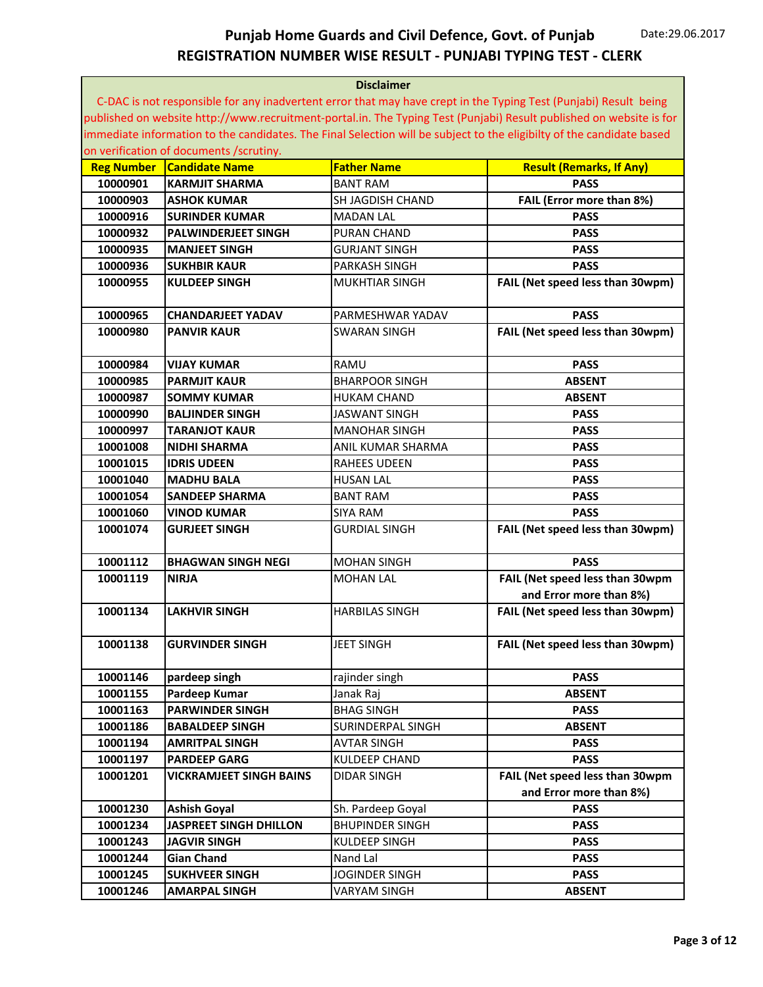| <b>Disclaimer</b> |                                         |                        |                                                                                                                       |
|-------------------|-----------------------------------------|------------------------|-----------------------------------------------------------------------------------------------------------------------|
|                   |                                         |                        | C-DAC is not responsible for any inadvertent error that may have crept in the Typing Test (Punjabi) Result being      |
|                   |                                         |                        | published on website http://www.recruitment-portal.in. The Typing Test (Punjabi) Result published on website is for   |
|                   |                                         |                        | immediate information to the candidates. The Final Selection will be subject to the eligibilty of the candidate based |
|                   | on verification of documents /scrutiny. |                        |                                                                                                                       |
| <b>Reg Number</b> | <b>Candidate Name</b>                   | <b>Father Name</b>     | <b>Result (Remarks, If Any)</b>                                                                                       |
| 10000901          | <b>KARMJIT SHARMA</b>                   | <b>BANT RAM</b>        | <b>PASS</b>                                                                                                           |
| 10000903          | <b>ASHOK KUMAR</b>                      | SH JAGDISH CHAND       | FAIL (Error more than 8%)                                                                                             |
| 10000916          | <b>SURINDER KUMAR</b>                   | <b>MADAN LAL</b>       | <b>PASS</b>                                                                                                           |
| 10000932          | <b>PALWINDERJEET SINGH</b>              | <b>PURAN CHAND</b>     | <b>PASS</b>                                                                                                           |
| 10000935          | <b>MANJEET SINGH</b>                    | <b>GURJANT SINGH</b>   | <b>PASS</b>                                                                                                           |
| 10000936          | <b>SUKHBIR KAUR</b>                     | <b>PARKASH SINGH</b>   | <b>PASS</b>                                                                                                           |
| 10000955          | <b>KULDEEP SINGH</b>                    | MUKHTIAR SINGH         | FAIL (Net speed less than 30wpm)                                                                                      |
|                   |                                         |                        |                                                                                                                       |
| 10000965          | <b>CHANDARJEET YADAV</b>                | PARMESHWAR YADAV       | <b>PASS</b>                                                                                                           |
| 10000980          | <b>PANVIR KAUR</b>                      | <b>SWARAN SINGH</b>    | FAIL (Net speed less than 30wpm)                                                                                      |
|                   |                                         |                        |                                                                                                                       |
| 10000984          | <b>VIJAY KUMAR</b>                      | RAMU                   | <b>PASS</b>                                                                                                           |
| 10000985          | <b>PARMJIT KAUR</b>                     | <b>BHARPOOR SINGH</b>  | <b>ABSENT</b>                                                                                                         |
| 10000987          | <b>SOMMY KUMAR</b>                      | <b>HUKAM CHAND</b>     | <b>ABSENT</b>                                                                                                         |
| 10000990          | <b>BALJINDER SINGH</b>                  | <b>JASWANT SINGH</b>   | <b>PASS</b>                                                                                                           |
| 10000997          | <b>TARANJOT KAUR</b>                    | MANOHAR SINGH          | <b>PASS</b>                                                                                                           |
| 10001008          | NIDHI SHARMA                            | ANIL KUMAR SHARMA      | <b>PASS</b>                                                                                                           |
| 10001015          | <b>IDRIS UDEEN</b>                      | <b>RAHEES UDEEN</b>    | <b>PASS</b>                                                                                                           |
| 10001040          | <b>MADHU BALA</b>                       | <b>HUSAN LAL</b>       | <b>PASS</b>                                                                                                           |
| 10001054          | <b>SANDEEP SHARMA</b>                   | <b>BANT RAM</b>        | <b>PASS</b>                                                                                                           |
| 10001060          | <b>VINOD KUMAR</b>                      | <b>SIYA RAM</b>        | <b>PASS</b>                                                                                                           |
| 10001074          | <b>GURJEET SINGH</b>                    | <b>GURDIAL SINGH</b>   | FAIL (Net speed less than 30wpm)                                                                                      |
|                   |                                         |                        |                                                                                                                       |
| 10001112          | <b>BHAGWAN SINGH NEGI</b>               | <b>MOHAN SINGH</b>     | <b>PASS</b>                                                                                                           |
| 10001119          | <b>NIRIA</b>                            | <b>MOHAN LAL</b>       | FAIL (Net speed less than 30wpm                                                                                       |
|                   |                                         |                        | and Error more than 8%)                                                                                               |
| 10001134          | <b>LAKHVIR SINGH</b>                    | <b>HARBILAS SINGH</b>  | FAIL (Net speed less than 30wpm)                                                                                      |
|                   |                                         |                        |                                                                                                                       |
|                   |                                         |                        |                                                                                                                       |
| 10001138          | <b>GURVINDER SINGH</b>                  | <b>JEET SINGH</b>      | FAIL (Net speed less than 30wpm)                                                                                      |
|                   |                                         |                        |                                                                                                                       |
| 10001146          | pardeep singh                           | rajinder singh         | <b>PASS</b>                                                                                                           |
| 10001155          | Pardeep Kumar                           | Janak Raj              | <b>ABSENT</b>                                                                                                         |
| 10001163          | <b>PARWINDER SINGH</b>                  | <b>BHAG SINGH</b>      | <b>PASS</b>                                                                                                           |
| 10001186          | <b>BABALDEEP SINGH</b>                  | SURINDERPAL SINGH      | <b>ABSENT</b>                                                                                                         |
| 10001194          | <b>AMRITPAL SINGH</b>                   | <b>AVTAR SINGH</b>     | <b>PASS</b>                                                                                                           |
| 10001197          | <b>PARDEEP GARG</b>                     | <b>KULDEEP CHAND</b>   | <b>PASS</b>                                                                                                           |
| 10001201          | VICKRAMJEET SINGH BAINS                 | <b>DIDAR SINGH</b>     | FAIL (Net speed less than 30wpm                                                                                       |
|                   |                                         |                        | and Error more than 8%)                                                                                               |
| 10001230          | <b>Ashish Goyal</b>                     | Sh. Pardeep Goyal      | <b>PASS</b>                                                                                                           |
| 10001234          | <b>JASPREET SINGH DHILLON</b>           | <b>BHUPINDER SINGH</b> | <b>PASS</b>                                                                                                           |
| 10001243          | <b>JAGVIR SINGH</b>                     | KULDEEP SINGH          | <b>PASS</b>                                                                                                           |
| 10001244          | <b>Gian Chand</b>                       | Nand Lal               | <b>PASS</b>                                                                                                           |
| 10001245          | <b>SUKHVEER SINGH</b>                   | JOGINDER SINGH         | <b>PASS</b>                                                                                                           |
| 10001246          | <b>AMARPAL SINGH</b>                    | VARYAM SINGH           | <b>ABSENT</b>                                                                                                         |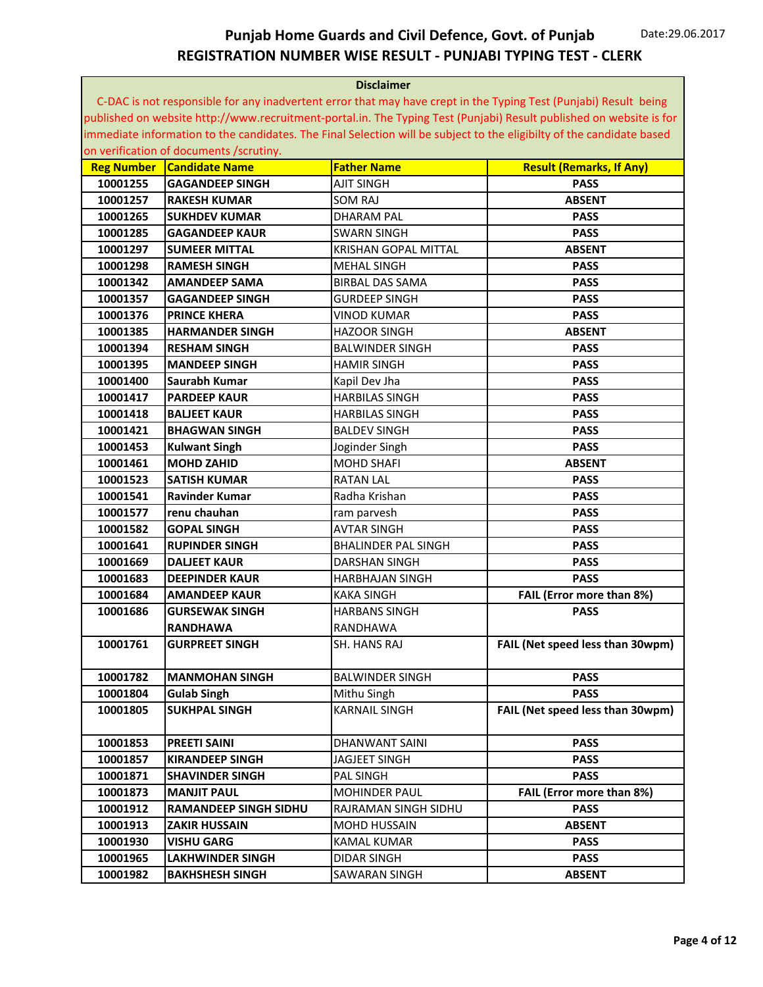| <b>Disclaimer</b> |                                         |                             |                                                                                                                       |
|-------------------|-----------------------------------------|-----------------------------|-----------------------------------------------------------------------------------------------------------------------|
|                   |                                         |                             | C-DAC is not responsible for any inadvertent error that may have crept in the Typing Test (Punjabi) Result being      |
|                   |                                         |                             | published on website http://www.recruitment-portal.in. The Typing Test (Punjabi) Result published on website is for   |
|                   |                                         |                             | immediate information to the candidates. The Final Selection will be subject to the eligibilty of the candidate based |
|                   | on verification of documents /scrutiny. |                             |                                                                                                                       |
| <b>Reg Number</b> | <b>Candidate Name</b>                   | <b>Father Name</b>          | <b>Result (Remarks, If Any)</b>                                                                                       |
| 10001255          | <b>GAGANDEEP SINGH</b>                  | <b>AJIT SINGH</b>           | <b>PASS</b>                                                                                                           |
| 10001257          | <b>RAKESH KUMAR</b>                     | <b>SOM RAJ</b>              | <b>ABSENT</b>                                                                                                         |
| 10001265          | <b>SUKHDEV KUMAR</b>                    | <b>DHARAM PAL</b>           | <b>PASS</b>                                                                                                           |
| 10001285          | <b>GAGANDEEP KAUR</b>                   | <b>SWARN SINGH</b>          | <b>PASS</b>                                                                                                           |
| 10001297          | <b>SUMEER MITTAL</b>                    | <b>KRISHAN GOPAL MITTAL</b> | <b>ABSENT</b>                                                                                                         |
| 10001298          | <b>RAMESH SINGH</b>                     | <b>MEHAL SINGH</b>          | <b>PASS</b>                                                                                                           |
| 10001342          | <b>AMANDEEP SAMA</b>                    | <b>BIRBAL DAS SAMA</b>      | <b>PASS</b>                                                                                                           |
| 10001357          | <b>GAGANDEEP SINGH</b>                  | <b>GURDEEP SINGH</b>        | <b>PASS</b>                                                                                                           |
| 10001376          | <b>PRINCE KHERA</b>                     | <b>VINOD KUMAR</b>          | <b>PASS</b>                                                                                                           |
| 10001385          | <b>HARMANDER SINGH</b>                  | <b>HAZOOR SINGH</b>         | <b>ABSENT</b>                                                                                                         |
| 10001394          | <b>RESHAM SINGH</b>                     | <b>BALWINDER SINGH</b>      | <b>PASS</b>                                                                                                           |
| 10001395          | <b>MANDEEP SINGH</b>                    | <b>HAMIR SINGH</b>          | <b>PASS</b>                                                                                                           |
| 10001400          | Saurabh Kumar                           | Kapil Dev Jha               | <b>PASS</b>                                                                                                           |
| 10001417          | <b>PARDEEP KAUR</b>                     | <b>HARBILAS SINGH</b>       | <b>PASS</b>                                                                                                           |
| 10001418          | <b>BALJEET KAUR</b>                     | <b>HARBILAS SINGH</b>       | <b>PASS</b>                                                                                                           |
| 10001421          | <b>BHAGWAN SINGH</b>                    | <b>BALDEV SINGH</b>         | <b>PASS</b>                                                                                                           |
| 10001453          | <b>Kulwant Singh</b>                    | Joginder Singh              | <b>PASS</b>                                                                                                           |
| 10001461          | <b>MOHD ZAHID</b>                       | <b>MOHD SHAFI</b>           | <b>ABSENT</b>                                                                                                         |
| 10001523          | <b>SATISH KUMAR</b>                     | <b>RATAN LAL</b>            | <b>PASS</b>                                                                                                           |
| 10001541          | Ravinder Kumar                          | Radha Krishan               | <b>PASS</b>                                                                                                           |
| 10001577          | renu chauhan                            | ram parvesh                 | <b>PASS</b>                                                                                                           |
| 10001582          | <b>GOPAL SINGH</b>                      | <b>AVTAR SINGH</b>          | <b>PASS</b>                                                                                                           |
| 10001641          | <b>RUPINDER SINGH</b>                   | <b>BHALINDER PAL SINGH</b>  | <b>PASS</b>                                                                                                           |
| 10001669          | <b>DALJEET KAUR</b>                     | <b>DARSHAN SINGH</b>        | <b>PASS</b>                                                                                                           |
| 10001683          | <b>DEEPINDER KAUR</b>                   | <b>HARBHAJAN SINGH</b>      | <b>PASS</b>                                                                                                           |
| 10001684          | <b>AMANDEEP KAUR</b>                    | <b>KAKA SINGH</b>           | FAIL (Error more than 8%)                                                                                             |
| 10001686          | <b>GURSEWAK SINGH</b>                   | <b>HARBANS SINGH</b>        | <b>PASS</b>                                                                                                           |
|                   | <b>RANDHAWA</b>                         | RANDHAWA                    |                                                                                                                       |
| 10001761          | <b>GURPREET SINGH</b>                   | SH. HANS RAJ                | FAIL (Net speed less than 30wpm)                                                                                      |
| 10001782          | <b>MANMOHAN SINGH</b>                   | <b>BALWINDER SINGH</b>      | <b>PASS</b>                                                                                                           |
| 10001804          | <b>Gulab Singh</b>                      | Mithu Singh                 | <b>PASS</b>                                                                                                           |
| 10001805          | <b>SUKHPAL SINGH</b>                    | <b>KARNAIL SINGH</b>        | FAIL (Net speed less than 30wpm)                                                                                      |
|                   |                                         |                             |                                                                                                                       |
| 10001853          | <b>PREETI SAINI</b>                     | DHANWANT SAINI              | <b>PASS</b>                                                                                                           |
| 10001857          | <b>KIRANDEEP SINGH</b>                  | JAGJEET SINGH               | <b>PASS</b>                                                                                                           |
| 10001871          | <b>SHAVINDER SINGH</b>                  | PAL SINGH                   | <b>PASS</b>                                                                                                           |
| 10001873          | <b>MANJIT PAUL</b>                      | <b>MOHINDER PAUL</b>        | FAIL (Error more than 8%)                                                                                             |
| 10001912          | <b>RAMANDEEP SINGH SIDHU</b>            | RAJRAMAN SINGH SIDHU        | <b>PASS</b>                                                                                                           |
| 10001913          | <b>ZAKIR HUSSAIN</b>                    | MOHD HUSSAIN                | <b>ABSENT</b>                                                                                                         |
| 10001930          | <b>VISHU GARG</b>                       | KAMAL KUMAR                 | <b>PASS</b>                                                                                                           |
| 10001965          | LAKHWINDER SINGH                        | <b>DIDAR SINGH</b>          | <b>PASS</b>                                                                                                           |
| 10001982          | <b>BAKHSHESH SINGH</b>                  | SAWARAN SINGH               | <b>ABSENT</b>                                                                                                         |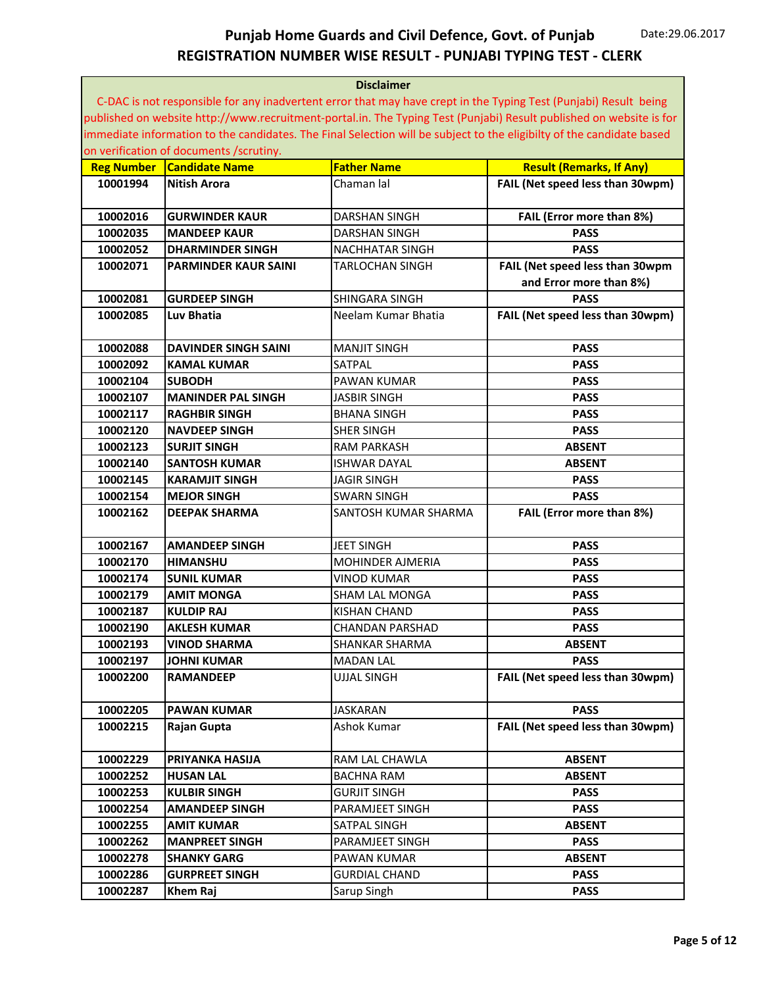| C-DAC is not responsible for any inadvertent error that may have crept in the Typing Test (Punjabi) Result being<br>published on website http://www.recruitment-portal.in. The Typing Test (Punjabi) Result published on website is for<br>immediate information to the candidates. The Final Selection will be subject to the eligibilty of the candidate based<br>on verification of documents /scrutiny.<br><b>Father Name</b><br><b>Candidate Name</b><br><b>Result (Remarks, If Any)</b><br><b>Reg Number</b><br>FAIL (Net speed less than 30wpm)<br>10001994<br><b>Nitish Arora</b><br>Chaman lal<br>10002016<br><b>DARSHAN SINGH</b><br>FAIL (Error more than 8%)<br><b>GURWINDER KAUR</b><br><b>PASS</b><br>10002035<br><b>MANDEEP KAUR</b><br><b>DARSHAN SINGH</b><br>10002052<br><b>PASS</b><br><b>DHARMINDER SINGH</b><br><b>NACHHATAR SINGH</b><br>FAIL (Net speed less than 30wpm<br>10002071<br><b>TARLOCHAN SINGH</b><br><b>PARMINDER KAUR SAINI</b><br>and Error more than 8%)<br>10002081<br><b>GURDEEP SINGH</b><br><b>SHINGARA SINGH</b><br><b>PASS</b><br>FAIL (Net speed less than 30wpm)<br>10002085<br>Luv Bhatia<br>Neelam Kumar Bhatia<br>10002088<br><b>DAVINDER SINGH SAINI</b><br><b>MANJIT SINGH</b><br><b>PASS</b><br>10002092<br><b>KAMAL KUMAR</b><br><b>SATPAL</b><br><b>PASS</b><br>10002104<br><b>SUBODH</b><br><b>PAWAN KUMAR</b><br><b>PASS</b><br>10002107<br><b>MANINDER PAL SINGH</b><br><b>JASBIR SINGH</b><br><b>PASS</b><br>10002117<br><b>RAGHBIR SINGH</b><br><b>BHANA SINGH</b><br><b>PASS</b><br>10002120<br><b>NAVDEEP SINGH</b><br><b>SHER SINGH</b><br><b>PASS</b><br>10002123<br><b>SURJIT SINGH</b><br><b>RAM PARKASH</b><br><b>ABSENT</b><br>10002140<br><b>SANTOSH KUMAR</b><br><b>ISHWAR DAYAL</b><br><b>ABSENT</b><br>10002145<br><b>KARAMJIT SINGH</b><br><b>JAGIR SINGH</b><br><b>PASS</b><br><b>PASS</b><br>10002154<br><b>MEJOR SINGH</b><br><b>SWARN SINGH</b><br>FAIL (Error more than 8%)<br>10002162<br><b>DEEPAK SHARMA</b><br><b>SANTOSH KUMAR SHARMA</b><br>10002167<br><b>AMANDEEP SINGH</b><br><b>JEET SINGH</b><br><b>PASS</b><br>10002170<br><b>HIMANSHU</b><br><b>MOHINDER AJMERIA</b><br><b>PASS</b><br>10002174<br><b>SUNIL KUMAR</b><br><b>VINOD KUMAR</b><br><b>PASS</b><br>10002179<br><b>AMIT MONGA</b><br><b>PASS</b><br><b>SHAM LAL MONGA</b><br>10002187<br><b>KULDIP RAJ</b><br><b>KISHAN CHAND</b><br><b>PASS</b><br>10002190<br><b>AKLESH KUMAR</b><br><b>PASS</b><br>CHANDAN PARSHAD<br>10002193<br><b>ABSENT</b><br><b>SHANKAR SHARMA</b><br><b>VINOD SHARMA</b><br>10002197<br><b>MADAN LAL</b><br><b>PASS</b><br><b>JOHNI KUMAR</b><br>FAIL (Net speed less than 30wpm)<br>10002200<br><b>RAMANDEEP</b><br><b>UJJAL SINGH</b><br>10002205<br><b>PAWAN KUMAR</b><br><b>JASKARAN</b><br><b>PASS</b><br>FAIL (Net speed less than 30wpm)<br>10002215<br>Rajan Gupta<br>Ashok Kumar<br>10002229<br>RAM LAL CHAWLA<br>PRIYANKA HASIJA<br><b>ABSENT</b><br>10002252<br><b>HUSAN LAL</b><br><b>BACHNA RAM</b><br><b>ABSENT</b><br>10002253<br><b>GURJIT SINGH</b><br><b>KULBIR SINGH</b><br><b>PASS</b><br>10002254<br><b>AMANDEEP SINGH</b><br>PARAMJEET SINGH<br><b>PASS</b><br>10002255<br>SATPAL SINGH<br><b>AMIT KUMAR</b><br><b>ABSENT</b><br>10002262<br><b>MANPREET SINGH</b><br>PARAMJEET SINGH<br><b>PASS</b><br>10002278<br><b>SHANKY GARG</b><br>PAWAN KUMAR<br><b>ABSENT</b><br>10002286<br><b>GURPREET SINGH</b><br><b>GURDIAL CHAND</b><br><b>PASS</b><br>10002287<br>Khem Raj<br>Sarup Singh<br><b>PASS</b> | <b>Disclaimer</b> |  |  |  |
|--------------------------------------------------------------------------------------------------------------------------------------------------------------------------------------------------------------------------------------------------------------------------------------------------------------------------------------------------------------------------------------------------------------------------------------------------------------------------------------------------------------------------------------------------------------------------------------------------------------------------------------------------------------------------------------------------------------------------------------------------------------------------------------------------------------------------------------------------------------------------------------------------------------------------------------------------------------------------------------------------------------------------------------------------------------------------------------------------------------------------------------------------------------------------------------------------------------------------------------------------------------------------------------------------------------------------------------------------------------------------------------------------------------------------------------------------------------------------------------------------------------------------------------------------------------------------------------------------------------------------------------------------------------------------------------------------------------------------------------------------------------------------------------------------------------------------------------------------------------------------------------------------------------------------------------------------------------------------------------------------------------------------------------------------------------------------------------------------------------------------------------------------------------------------------------------------------------------------------------------------------------------------------------------------------------------------------------------------------------------------------------------------------------------------------------------------------------------------------------------------------------------------------------------------------------------------------------------------------------------------------------------------------------------------------------------------------------------------------------------------------------------------------------------------------------------------------------------------------------------------------------------------------------------------------------------------------------------------------------------------------------------------------------------------------------------------------------------------------------------------------------------------------------------------------------------------------------------------------------------------------------------------------------------------------------------------------------------------------------------------------------------------------------------------------------------------------------------------------------------------------------|-------------------|--|--|--|
|                                                                                                                                                                                                                                                                                                                                                                                                                                                                                                                                                                                                                                                                                                                                                                                                                                                                                                                                                                                                                                                                                                                                                                                                                                                                                                                                                                                                                                                                                                                                                                                                                                                                                                                                                                                                                                                                                                                                                                                                                                                                                                                                                                                                                                                                                                                                                                                                                                                                                                                                                                                                                                                                                                                                                                                                                                                                                                                                                                                                                                                                                                                                                                                                                                                                                                                                                                                                                                                                                                              |                   |  |  |  |
|                                                                                                                                                                                                                                                                                                                                                                                                                                                                                                                                                                                                                                                                                                                                                                                                                                                                                                                                                                                                                                                                                                                                                                                                                                                                                                                                                                                                                                                                                                                                                                                                                                                                                                                                                                                                                                                                                                                                                                                                                                                                                                                                                                                                                                                                                                                                                                                                                                                                                                                                                                                                                                                                                                                                                                                                                                                                                                                                                                                                                                                                                                                                                                                                                                                                                                                                                                                                                                                                                                              |                   |  |  |  |
|                                                                                                                                                                                                                                                                                                                                                                                                                                                                                                                                                                                                                                                                                                                                                                                                                                                                                                                                                                                                                                                                                                                                                                                                                                                                                                                                                                                                                                                                                                                                                                                                                                                                                                                                                                                                                                                                                                                                                                                                                                                                                                                                                                                                                                                                                                                                                                                                                                                                                                                                                                                                                                                                                                                                                                                                                                                                                                                                                                                                                                                                                                                                                                                                                                                                                                                                                                                                                                                                                                              |                   |  |  |  |
|                                                                                                                                                                                                                                                                                                                                                                                                                                                                                                                                                                                                                                                                                                                                                                                                                                                                                                                                                                                                                                                                                                                                                                                                                                                                                                                                                                                                                                                                                                                                                                                                                                                                                                                                                                                                                                                                                                                                                                                                                                                                                                                                                                                                                                                                                                                                                                                                                                                                                                                                                                                                                                                                                                                                                                                                                                                                                                                                                                                                                                                                                                                                                                                                                                                                                                                                                                                                                                                                                                              |                   |  |  |  |
|                                                                                                                                                                                                                                                                                                                                                                                                                                                                                                                                                                                                                                                                                                                                                                                                                                                                                                                                                                                                                                                                                                                                                                                                                                                                                                                                                                                                                                                                                                                                                                                                                                                                                                                                                                                                                                                                                                                                                                                                                                                                                                                                                                                                                                                                                                                                                                                                                                                                                                                                                                                                                                                                                                                                                                                                                                                                                                                                                                                                                                                                                                                                                                                                                                                                                                                                                                                                                                                                                                              |                   |  |  |  |
|                                                                                                                                                                                                                                                                                                                                                                                                                                                                                                                                                                                                                                                                                                                                                                                                                                                                                                                                                                                                                                                                                                                                                                                                                                                                                                                                                                                                                                                                                                                                                                                                                                                                                                                                                                                                                                                                                                                                                                                                                                                                                                                                                                                                                                                                                                                                                                                                                                                                                                                                                                                                                                                                                                                                                                                                                                                                                                                                                                                                                                                                                                                                                                                                                                                                                                                                                                                                                                                                                                              |                   |  |  |  |
|                                                                                                                                                                                                                                                                                                                                                                                                                                                                                                                                                                                                                                                                                                                                                                                                                                                                                                                                                                                                                                                                                                                                                                                                                                                                                                                                                                                                                                                                                                                                                                                                                                                                                                                                                                                                                                                                                                                                                                                                                                                                                                                                                                                                                                                                                                                                                                                                                                                                                                                                                                                                                                                                                                                                                                                                                                                                                                                                                                                                                                                                                                                                                                                                                                                                                                                                                                                                                                                                                                              |                   |  |  |  |
|                                                                                                                                                                                                                                                                                                                                                                                                                                                                                                                                                                                                                                                                                                                                                                                                                                                                                                                                                                                                                                                                                                                                                                                                                                                                                                                                                                                                                                                                                                                                                                                                                                                                                                                                                                                                                                                                                                                                                                                                                                                                                                                                                                                                                                                                                                                                                                                                                                                                                                                                                                                                                                                                                                                                                                                                                                                                                                                                                                                                                                                                                                                                                                                                                                                                                                                                                                                                                                                                                                              |                   |  |  |  |
|                                                                                                                                                                                                                                                                                                                                                                                                                                                                                                                                                                                                                                                                                                                                                                                                                                                                                                                                                                                                                                                                                                                                                                                                                                                                                                                                                                                                                                                                                                                                                                                                                                                                                                                                                                                                                                                                                                                                                                                                                                                                                                                                                                                                                                                                                                                                                                                                                                                                                                                                                                                                                                                                                                                                                                                                                                                                                                                                                                                                                                                                                                                                                                                                                                                                                                                                                                                                                                                                                                              |                   |  |  |  |
|                                                                                                                                                                                                                                                                                                                                                                                                                                                                                                                                                                                                                                                                                                                                                                                                                                                                                                                                                                                                                                                                                                                                                                                                                                                                                                                                                                                                                                                                                                                                                                                                                                                                                                                                                                                                                                                                                                                                                                                                                                                                                                                                                                                                                                                                                                                                                                                                                                                                                                                                                                                                                                                                                                                                                                                                                                                                                                                                                                                                                                                                                                                                                                                                                                                                                                                                                                                                                                                                                                              |                   |  |  |  |
|                                                                                                                                                                                                                                                                                                                                                                                                                                                                                                                                                                                                                                                                                                                                                                                                                                                                                                                                                                                                                                                                                                                                                                                                                                                                                                                                                                                                                                                                                                                                                                                                                                                                                                                                                                                                                                                                                                                                                                                                                                                                                                                                                                                                                                                                                                                                                                                                                                                                                                                                                                                                                                                                                                                                                                                                                                                                                                                                                                                                                                                                                                                                                                                                                                                                                                                                                                                                                                                                                                              |                   |  |  |  |
|                                                                                                                                                                                                                                                                                                                                                                                                                                                                                                                                                                                                                                                                                                                                                                                                                                                                                                                                                                                                                                                                                                                                                                                                                                                                                                                                                                                                                                                                                                                                                                                                                                                                                                                                                                                                                                                                                                                                                                                                                                                                                                                                                                                                                                                                                                                                                                                                                                                                                                                                                                                                                                                                                                                                                                                                                                                                                                                                                                                                                                                                                                                                                                                                                                                                                                                                                                                                                                                                                                              |                   |  |  |  |
|                                                                                                                                                                                                                                                                                                                                                                                                                                                                                                                                                                                                                                                                                                                                                                                                                                                                                                                                                                                                                                                                                                                                                                                                                                                                                                                                                                                                                                                                                                                                                                                                                                                                                                                                                                                                                                                                                                                                                                                                                                                                                                                                                                                                                                                                                                                                                                                                                                                                                                                                                                                                                                                                                                                                                                                                                                                                                                                                                                                                                                                                                                                                                                                                                                                                                                                                                                                                                                                                                                              |                   |  |  |  |
|                                                                                                                                                                                                                                                                                                                                                                                                                                                                                                                                                                                                                                                                                                                                                                                                                                                                                                                                                                                                                                                                                                                                                                                                                                                                                                                                                                                                                                                                                                                                                                                                                                                                                                                                                                                                                                                                                                                                                                                                                                                                                                                                                                                                                                                                                                                                                                                                                                                                                                                                                                                                                                                                                                                                                                                                                                                                                                                                                                                                                                                                                                                                                                                                                                                                                                                                                                                                                                                                                                              |                   |  |  |  |
|                                                                                                                                                                                                                                                                                                                                                                                                                                                                                                                                                                                                                                                                                                                                                                                                                                                                                                                                                                                                                                                                                                                                                                                                                                                                                                                                                                                                                                                                                                                                                                                                                                                                                                                                                                                                                                                                                                                                                                                                                                                                                                                                                                                                                                                                                                                                                                                                                                                                                                                                                                                                                                                                                                                                                                                                                                                                                                                                                                                                                                                                                                                                                                                                                                                                                                                                                                                                                                                                                                              |                   |  |  |  |
|                                                                                                                                                                                                                                                                                                                                                                                                                                                                                                                                                                                                                                                                                                                                                                                                                                                                                                                                                                                                                                                                                                                                                                                                                                                                                                                                                                                                                                                                                                                                                                                                                                                                                                                                                                                                                                                                                                                                                                                                                                                                                                                                                                                                                                                                                                                                                                                                                                                                                                                                                                                                                                                                                                                                                                                                                                                                                                                                                                                                                                                                                                                                                                                                                                                                                                                                                                                                                                                                                                              |                   |  |  |  |
|                                                                                                                                                                                                                                                                                                                                                                                                                                                                                                                                                                                                                                                                                                                                                                                                                                                                                                                                                                                                                                                                                                                                                                                                                                                                                                                                                                                                                                                                                                                                                                                                                                                                                                                                                                                                                                                                                                                                                                                                                                                                                                                                                                                                                                                                                                                                                                                                                                                                                                                                                                                                                                                                                                                                                                                                                                                                                                                                                                                                                                                                                                                                                                                                                                                                                                                                                                                                                                                                                                              |                   |  |  |  |
|                                                                                                                                                                                                                                                                                                                                                                                                                                                                                                                                                                                                                                                                                                                                                                                                                                                                                                                                                                                                                                                                                                                                                                                                                                                                                                                                                                                                                                                                                                                                                                                                                                                                                                                                                                                                                                                                                                                                                                                                                                                                                                                                                                                                                                                                                                                                                                                                                                                                                                                                                                                                                                                                                                                                                                                                                                                                                                                                                                                                                                                                                                                                                                                                                                                                                                                                                                                                                                                                                                              |                   |  |  |  |
|                                                                                                                                                                                                                                                                                                                                                                                                                                                                                                                                                                                                                                                                                                                                                                                                                                                                                                                                                                                                                                                                                                                                                                                                                                                                                                                                                                                                                                                                                                                                                                                                                                                                                                                                                                                                                                                                                                                                                                                                                                                                                                                                                                                                                                                                                                                                                                                                                                                                                                                                                                                                                                                                                                                                                                                                                                                                                                                                                                                                                                                                                                                                                                                                                                                                                                                                                                                                                                                                                                              |                   |  |  |  |
|                                                                                                                                                                                                                                                                                                                                                                                                                                                                                                                                                                                                                                                                                                                                                                                                                                                                                                                                                                                                                                                                                                                                                                                                                                                                                                                                                                                                                                                                                                                                                                                                                                                                                                                                                                                                                                                                                                                                                                                                                                                                                                                                                                                                                                                                                                                                                                                                                                                                                                                                                                                                                                                                                                                                                                                                                                                                                                                                                                                                                                                                                                                                                                                                                                                                                                                                                                                                                                                                                                              |                   |  |  |  |
|                                                                                                                                                                                                                                                                                                                                                                                                                                                                                                                                                                                                                                                                                                                                                                                                                                                                                                                                                                                                                                                                                                                                                                                                                                                                                                                                                                                                                                                                                                                                                                                                                                                                                                                                                                                                                                                                                                                                                                                                                                                                                                                                                                                                                                                                                                                                                                                                                                                                                                                                                                                                                                                                                                                                                                                                                                                                                                                                                                                                                                                                                                                                                                                                                                                                                                                                                                                                                                                                                                              |                   |  |  |  |
|                                                                                                                                                                                                                                                                                                                                                                                                                                                                                                                                                                                                                                                                                                                                                                                                                                                                                                                                                                                                                                                                                                                                                                                                                                                                                                                                                                                                                                                                                                                                                                                                                                                                                                                                                                                                                                                                                                                                                                                                                                                                                                                                                                                                                                                                                                                                                                                                                                                                                                                                                                                                                                                                                                                                                                                                                                                                                                                                                                                                                                                                                                                                                                                                                                                                                                                                                                                                                                                                                                              |                   |  |  |  |
|                                                                                                                                                                                                                                                                                                                                                                                                                                                                                                                                                                                                                                                                                                                                                                                                                                                                                                                                                                                                                                                                                                                                                                                                                                                                                                                                                                                                                                                                                                                                                                                                                                                                                                                                                                                                                                                                                                                                                                                                                                                                                                                                                                                                                                                                                                                                                                                                                                                                                                                                                                                                                                                                                                                                                                                                                                                                                                                                                                                                                                                                                                                                                                                                                                                                                                                                                                                                                                                                                                              |                   |  |  |  |
|                                                                                                                                                                                                                                                                                                                                                                                                                                                                                                                                                                                                                                                                                                                                                                                                                                                                                                                                                                                                                                                                                                                                                                                                                                                                                                                                                                                                                                                                                                                                                                                                                                                                                                                                                                                                                                                                                                                                                                                                                                                                                                                                                                                                                                                                                                                                                                                                                                                                                                                                                                                                                                                                                                                                                                                                                                                                                                                                                                                                                                                                                                                                                                                                                                                                                                                                                                                                                                                                                                              |                   |  |  |  |
|                                                                                                                                                                                                                                                                                                                                                                                                                                                                                                                                                                                                                                                                                                                                                                                                                                                                                                                                                                                                                                                                                                                                                                                                                                                                                                                                                                                                                                                                                                                                                                                                                                                                                                                                                                                                                                                                                                                                                                                                                                                                                                                                                                                                                                                                                                                                                                                                                                                                                                                                                                                                                                                                                                                                                                                                                                                                                                                                                                                                                                                                                                                                                                                                                                                                                                                                                                                                                                                                                                              |                   |  |  |  |
|                                                                                                                                                                                                                                                                                                                                                                                                                                                                                                                                                                                                                                                                                                                                                                                                                                                                                                                                                                                                                                                                                                                                                                                                                                                                                                                                                                                                                                                                                                                                                                                                                                                                                                                                                                                                                                                                                                                                                                                                                                                                                                                                                                                                                                                                                                                                                                                                                                                                                                                                                                                                                                                                                                                                                                                                                                                                                                                                                                                                                                                                                                                                                                                                                                                                                                                                                                                                                                                                                                              |                   |  |  |  |
|                                                                                                                                                                                                                                                                                                                                                                                                                                                                                                                                                                                                                                                                                                                                                                                                                                                                                                                                                                                                                                                                                                                                                                                                                                                                                                                                                                                                                                                                                                                                                                                                                                                                                                                                                                                                                                                                                                                                                                                                                                                                                                                                                                                                                                                                                                                                                                                                                                                                                                                                                                                                                                                                                                                                                                                                                                                                                                                                                                                                                                                                                                                                                                                                                                                                                                                                                                                                                                                                                                              |                   |  |  |  |
|                                                                                                                                                                                                                                                                                                                                                                                                                                                                                                                                                                                                                                                                                                                                                                                                                                                                                                                                                                                                                                                                                                                                                                                                                                                                                                                                                                                                                                                                                                                                                                                                                                                                                                                                                                                                                                                                                                                                                                                                                                                                                                                                                                                                                                                                                                                                                                                                                                                                                                                                                                                                                                                                                                                                                                                                                                                                                                                                                                                                                                                                                                                                                                                                                                                                                                                                                                                                                                                                                                              |                   |  |  |  |
|                                                                                                                                                                                                                                                                                                                                                                                                                                                                                                                                                                                                                                                                                                                                                                                                                                                                                                                                                                                                                                                                                                                                                                                                                                                                                                                                                                                                                                                                                                                                                                                                                                                                                                                                                                                                                                                                                                                                                                                                                                                                                                                                                                                                                                                                                                                                                                                                                                                                                                                                                                                                                                                                                                                                                                                                                                                                                                                                                                                                                                                                                                                                                                                                                                                                                                                                                                                                                                                                                                              |                   |  |  |  |
|                                                                                                                                                                                                                                                                                                                                                                                                                                                                                                                                                                                                                                                                                                                                                                                                                                                                                                                                                                                                                                                                                                                                                                                                                                                                                                                                                                                                                                                                                                                                                                                                                                                                                                                                                                                                                                                                                                                                                                                                                                                                                                                                                                                                                                                                                                                                                                                                                                                                                                                                                                                                                                                                                                                                                                                                                                                                                                                                                                                                                                                                                                                                                                                                                                                                                                                                                                                                                                                                                                              |                   |  |  |  |
|                                                                                                                                                                                                                                                                                                                                                                                                                                                                                                                                                                                                                                                                                                                                                                                                                                                                                                                                                                                                                                                                                                                                                                                                                                                                                                                                                                                                                                                                                                                                                                                                                                                                                                                                                                                                                                                                                                                                                                                                                                                                                                                                                                                                                                                                                                                                                                                                                                                                                                                                                                                                                                                                                                                                                                                                                                                                                                                                                                                                                                                                                                                                                                                                                                                                                                                                                                                                                                                                                                              |                   |  |  |  |
|                                                                                                                                                                                                                                                                                                                                                                                                                                                                                                                                                                                                                                                                                                                                                                                                                                                                                                                                                                                                                                                                                                                                                                                                                                                                                                                                                                                                                                                                                                                                                                                                                                                                                                                                                                                                                                                                                                                                                                                                                                                                                                                                                                                                                                                                                                                                                                                                                                                                                                                                                                                                                                                                                                                                                                                                                                                                                                                                                                                                                                                                                                                                                                                                                                                                                                                                                                                                                                                                                                              |                   |  |  |  |
|                                                                                                                                                                                                                                                                                                                                                                                                                                                                                                                                                                                                                                                                                                                                                                                                                                                                                                                                                                                                                                                                                                                                                                                                                                                                                                                                                                                                                                                                                                                                                                                                                                                                                                                                                                                                                                                                                                                                                                                                                                                                                                                                                                                                                                                                                                                                                                                                                                                                                                                                                                                                                                                                                                                                                                                                                                                                                                                                                                                                                                                                                                                                                                                                                                                                                                                                                                                                                                                                                                              |                   |  |  |  |
|                                                                                                                                                                                                                                                                                                                                                                                                                                                                                                                                                                                                                                                                                                                                                                                                                                                                                                                                                                                                                                                                                                                                                                                                                                                                                                                                                                                                                                                                                                                                                                                                                                                                                                                                                                                                                                                                                                                                                                                                                                                                                                                                                                                                                                                                                                                                                                                                                                                                                                                                                                                                                                                                                                                                                                                                                                                                                                                                                                                                                                                                                                                                                                                                                                                                                                                                                                                                                                                                                                              |                   |  |  |  |
|                                                                                                                                                                                                                                                                                                                                                                                                                                                                                                                                                                                                                                                                                                                                                                                                                                                                                                                                                                                                                                                                                                                                                                                                                                                                                                                                                                                                                                                                                                                                                                                                                                                                                                                                                                                                                                                                                                                                                                                                                                                                                                                                                                                                                                                                                                                                                                                                                                                                                                                                                                                                                                                                                                                                                                                                                                                                                                                                                                                                                                                                                                                                                                                                                                                                                                                                                                                                                                                                                                              |                   |  |  |  |
|                                                                                                                                                                                                                                                                                                                                                                                                                                                                                                                                                                                                                                                                                                                                                                                                                                                                                                                                                                                                                                                                                                                                                                                                                                                                                                                                                                                                                                                                                                                                                                                                                                                                                                                                                                                                                                                                                                                                                                                                                                                                                                                                                                                                                                                                                                                                                                                                                                                                                                                                                                                                                                                                                                                                                                                                                                                                                                                                                                                                                                                                                                                                                                                                                                                                                                                                                                                                                                                                                                              |                   |  |  |  |
|                                                                                                                                                                                                                                                                                                                                                                                                                                                                                                                                                                                                                                                                                                                                                                                                                                                                                                                                                                                                                                                                                                                                                                                                                                                                                                                                                                                                                                                                                                                                                                                                                                                                                                                                                                                                                                                                                                                                                                                                                                                                                                                                                                                                                                                                                                                                                                                                                                                                                                                                                                                                                                                                                                                                                                                                                                                                                                                                                                                                                                                                                                                                                                                                                                                                                                                                                                                                                                                                                                              |                   |  |  |  |
|                                                                                                                                                                                                                                                                                                                                                                                                                                                                                                                                                                                                                                                                                                                                                                                                                                                                                                                                                                                                                                                                                                                                                                                                                                                                                                                                                                                                                                                                                                                                                                                                                                                                                                                                                                                                                                                                                                                                                                                                                                                                                                                                                                                                                                                                                                                                                                                                                                                                                                                                                                                                                                                                                                                                                                                                                                                                                                                                                                                                                                                                                                                                                                                                                                                                                                                                                                                                                                                                                                              |                   |  |  |  |
|                                                                                                                                                                                                                                                                                                                                                                                                                                                                                                                                                                                                                                                                                                                                                                                                                                                                                                                                                                                                                                                                                                                                                                                                                                                                                                                                                                                                                                                                                                                                                                                                                                                                                                                                                                                                                                                                                                                                                                                                                                                                                                                                                                                                                                                                                                                                                                                                                                                                                                                                                                                                                                                                                                                                                                                                                                                                                                                                                                                                                                                                                                                                                                                                                                                                                                                                                                                                                                                                                                              |                   |  |  |  |
|                                                                                                                                                                                                                                                                                                                                                                                                                                                                                                                                                                                                                                                                                                                                                                                                                                                                                                                                                                                                                                                                                                                                                                                                                                                                                                                                                                                                                                                                                                                                                                                                                                                                                                                                                                                                                                                                                                                                                                                                                                                                                                                                                                                                                                                                                                                                                                                                                                                                                                                                                                                                                                                                                                                                                                                                                                                                                                                                                                                                                                                                                                                                                                                                                                                                                                                                                                                                                                                                                                              |                   |  |  |  |
|                                                                                                                                                                                                                                                                                                                                                                                                                                                                                                                                                                                                                                                                                                                                                                                                                                                                                                                                                                                                                                                                                                                                                                                                                                                                                                                                                                                                                                                                                                                                                                                                                                                                                                                                                                                                                                                                                                                                                                                                                                                                                                                                                                                                                                                                                                                                                                                                                                                                                                                                                                                                                                                                                                                                                                                                                                                                                                                                                                                                                                                                                                                                                                                                                                                                                                                                                                                                                                                                                                              |                   |  |  |  |
|                                                                                                                                                                                                                                                                                                                                                                                                                                                                                                                                                                                                                                                                                                                                                                                                                                                                                                                                                                                                                                                                                                                                                                                                                                                                                                                                                                                                                                                                                                                                                                                                                                                                                                                                                                                                                                                                                                                                                                                                                                                                                                                                                                                                                                                                                                                                                                                                                                                                                                                                                                                                                                                                                                                                                                                                                                                                                                                                                                                                                                                                                                                                                                                                                                                                                                                                                                                                                                                                                                              |                   |  |  |  |
|                                                                                                                                                                                                                                                                                                                                                                                                                                                                                                                                                                                                                                                                                                                                                                                                                                                                                                                                                                                                                                                                                                                                                                                                                                                                                                                                                                                                                                                                                                                                                                                                                                                                                                                                                                                                                                                                                                                                                                                                                                                                                                                                                                                                                                                                                                                                                                                                                                                                                                                                                                                                                                                                                                                                                                                                                                                                                                                                                                                                                                                                                                                                                                                                                                                                                                                                                                                                                                                                                                              |                   |  |  |  |
|                                                                                                                                                                                                                                                                                                                                                                                                                                                                                                                                                                                                                                                                                                                                                                                                                                                                                                                                                                                                                                                                                                                                                                                                                                                                                                                                                                                                                                                                                                                                                                                                                                                                                                                                                                                                                                                                                                                                                                                                                                                                                                                                                                                                                                                                                                                                                                                                                                                                                                                                                                                                                                                                                                                                                                                                                                                                                                                                                                                                                                                                                                                                                                                                                                                                                                                                                                                                                                                                                                              |                   |  |  |  |
|                                                                                                                                                                                                                                                                                                                                                                                                                                                                                                                                                                                                                                                                                                                                                                                                                                                                                                                                                                                                                                                                                                                                                                                                                                                                                                                                                                                                                                                                                                                                                                                                                                                                                                                                                                                                                                                                                                                                                                                                                                                                                                                                                                                                                                                                                                                                                                                                                                                                                                                                                                                                                                                                                                                                                                                                                                                                                                                                                                                                                                                                                                                                                                                                                                                                                                                                                                                                                                                                                                              |                   |  |  |  |
|                                                                                                                                                                                                                                                                                                                                                                                                                                                                                                                                                                                                                                                                                                                                                                                                                                                                                                                                                                                                                                                                                                                                                                                                                                                                                                                                                                                                                                                                                                                                                                                                                                                                                                                                                                                                                                                                                                                                                                                                                                                                                                                                                                                                                                                                                                                                                                                                                                                                                                                                                                                                                                                                                                                                                                                                                                                                                                                                                                                                                                                                                                                                                                                                                                                                                                                                                                                                                                                                                                              |                   |  |  |  |
|                                                                                                                                                                                                                                                                                                                                                                                                                                                                                                                                                                                                                                                                                                                                                                                                                                                                                                                                                                                                                                                                                                                                                                                                                                                                                                                                                                                                                                                                                                                                                                                                                                                                                                                                                                                                                                                                                                                                                                                                                                                                                                                                                                                                                                                                                                                                                                                                                                                                                                                                                                                                                                                                                                                                                                                                                                                                                                                                                                                                                                                                                                                                                                                                                                                                                                                                                                                                                                                                                                              |                   |  |  |  |
|                                                                                                                                                                                                                                                                                                                                                                                                                                                                                                                                                                                                                                                                                                                                                                                                                                                                                                                                                                                                                                                                                                                                                                                                                                                                                                                                                                                                                                                                                                                                                                                                                                                                                                                                                                                                                                                                                                                                                                                                                                                                                                                                                                                                                                                                                                                                                                                                                                                                                                                                                                                                                                                                                                                                                                                                                                                                                                                                                                                                                                                                                                                                                                                                                                                                                                                                                                                                                                                                                                              |                   |  |  |  |
|                                                                                                                                                                                                                                                                                                                                                                                                                                                                                                                                                                                                                                                                                                                                                                                                                                                                                                                                                                                                                                                                                                                                                                                                                                                                                                                                                                                                                                                                                                                                                                                                                                                                                                                                                                                                                                                                                                                                                                                                                                                                                                                                                                                                                                                                                                                                                                                                                                                                                                                                                                                                                                                                                                                                                                                                                                                                                                                                                                                                                                                                                                                                                                                                                                                                                                                                                                                                                                                                                                              |                   |  |  |  |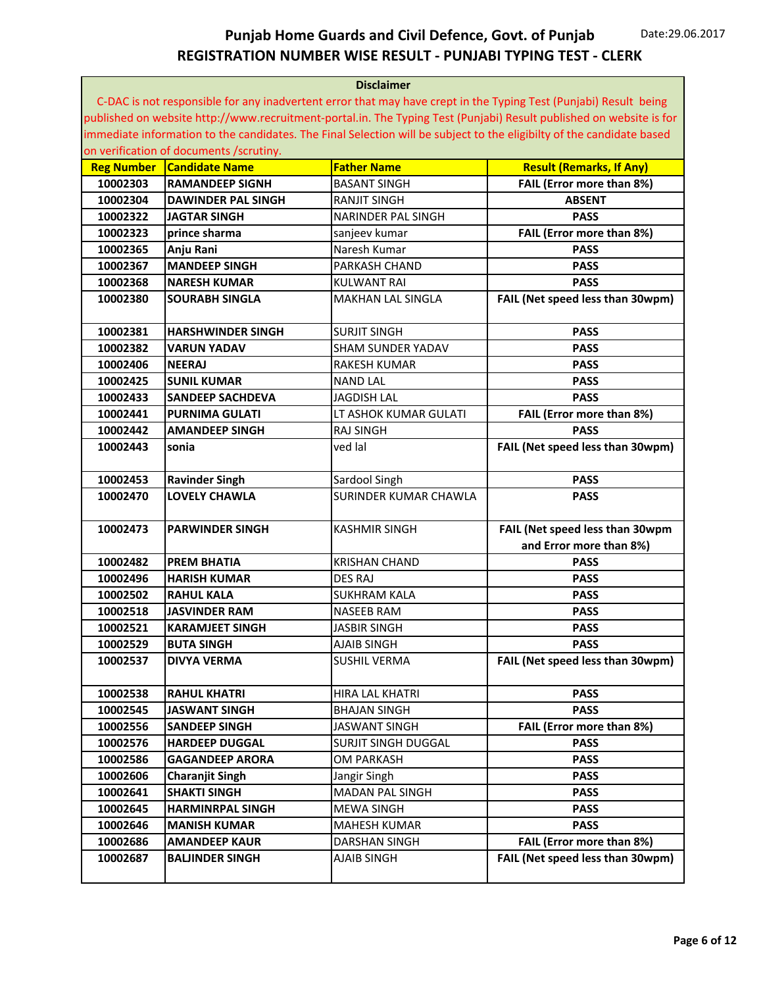|                   |                                         | <b>Disclaimer</b>          |                                                                                                                       |
|-------------------|-----------------------------------------|----------------------------|-----------------------------------------------------------------------------------------------------------------------|
|                   |                                         |                            | C-DAC is not responsible for any inadvertent error that may have crept in the Typing Test (Punjabi) Result being      |
|                   |                                         |                            | published on website http://www.recruitment-portal.in. The Typing Test (Punjabi) Result published on website is for   |
|                   |                                         |                            | immediate information to the candidates. The Final Selection will be subject to the eligibilty of the candidate based |
|                   | on verification of documents /scrutiny. |                            |                                                                                                                       |
| <b>Reg Number</b> | <b>Candidate Name</b>                   | <b>Father Name</b>         | <b>Result (Remarks, If Any)</b>                                                                                       |
| 10002303          | <b>RAMANDEEP SIGNH</b>                  | <b>BASANT SINGH</b>        | FAIL (Error more than 8%)                                                                                             |
| 10002304          | <b>DAWINDER PAL SINGH</b>               | <b>RANJIT SINGH</b>        | <b>ABSENT</b>                                                                                                         |
| 10002322          | <b>JAGTAR SINGH</b>                     | <b>NARINDER PAL SINGH</b>  | <b>PASS</b>                                                                                                           |
| 10002323          | prince sharma                           | sanjeev kumar              | FAIL (Error more than 8%)                                                                                             |
| 10002365          | Anju Rani                               | Naresh Kumar               | <b>PASS</b>                                                                                                           |
| 10002367          | <b>MANDEEP SINGH</b>                    | <b>PARKASH CHAND</b>       | <b>PASS</b>                                                                                                           |
| 10002368          | <b>NARESH KUMAR</b>                     | KULWANT RAI                | <b>PASS</b>                                                                                                           |
| 10002380          | <b>SOURABH SINGLA</b>                   | <b>MAKHAN LAL SINGLA</b>   | FAIL (Net speed less than 30wpm)                                                                                      |
|                   |                                         |                            |                                                                                                                       |
| 10002381          | <b>HARSHWINDER SINGH</b>                | <b>SURJIT SINGH</b>        | <b>PASS</b>                                                                                                           |
| 10002382          | <b>VARUN YADAV</b>                      | <b>SHAM SUNDER YADAV</b>   | <b>PASS</b>                                                                                                           |
| 10002406          | <b>NEERAJ</b>                           | <b>RAKESH KUMAR</b>        | <b>PASS</b>                                                                                                           |
| 10002425          | <b>SUNIL KUMAR</b>                      | <b>NAND LAL</b>            | <b>PASS</b>                                                                                                           |
| 10002433          | <b>SANDEEP SACHDEVA</b>                 | <b>JAGDISH LAL</b>         | <b>PASS</b>                                                                                                           |
| 10002441          | <b>PURNIMA GULATI</b>                   | LT ASHOK KUMAR GULATI      | FAIL (Error more than 8%)                                                                                             |
| 10002442          | <b>AMANDEEP SINGH</b>                   | <b>RAJ SINGH</b>           | <b>PASS</b>                                                                                                           |
| 10002443          | sonia                                   | ved lal                    | FAIL (Net speed less than 30wpm)                                                                                      |
| 10002453          | <b>Ravinder Singh</b>                   | Sardool Singh              | <b>PASS</b>                                                                                                           |
| 10002470          | <b>LOVELY CHAWLA</b>                    | SURINDER KUMAR CHAWLA      | <b>PASS</b>                                                                                                           |
|                   |                                         |                            |                                                                                                                       |
| 10002473          | <b>PARWINDER SINGH</b>                  | <b>KASHMIR SINGH</b>       | FAIL (Net speed less than 30wpm                                                                                       |
|                   |                                         |                            | and Error more than 8%)                                                                                               |
| 10002482          | <b>PREM BHATIA</b>                      | <b>KRISHAN CHAND</b>       | <b>PASS</b>                                                                                                           |
| 10002496          | <b>HARISH KUMAR</b>                     | <b>DES RAJ</b>             | <b>PASS</b>                                                                                                           |
| 10002502          | <b>RAHUL KALA</b>                       | <b>SUKHRAM KALA</b>        | <b>PASS</b>                                                                                                           |
| 10002518          | <b>JASVINDER RAM</b>                    | <b>NASEEB RAM</b>          | <b>PASS</b>                                                                                                           |
| 10002521          | <b>KARAMJEET SINGH</b>                  | <b>JASBIR SINGH</b>        | <b>PASS</b>                                                                                                           |
| 10002529          | <b>BUTA SINGH</b>                       | <b>AJAIB SINGH</b>         | <b>PASS</b>                                                                                                           |
| 10002537          | <b>DIVYA VERMA</b>                      | <b>SUSHIL VERMA</b>        | FAIL (Net speed less than 30wpm)                                                                                      |
|                   |                                         |                            |                                                                                                                       |
| 10002538          | <b>RAHUL KHATRI</b>                     | HIRA LAL KHATRI            | <b>PASS</b>                                                                                                           |
| 10002545          | <b>JASWANT SINGH</b>                    | <b>BHAJAN SINGH</b>        | <b>PASS</b>                                                                                                           |
| 10002556          | <b>SANDEEP SINGH</b>                    | <b>JASWANT SINGH</b>       | FAIL (Error more than 8%)                                                                                             |
| 10002576          | <b>HARDEEP DUGGAL</b>                   | <b>SURJIT SINGH DUGGAL</b> | <b>PASS</b>                                                                                                           |
| 10002586          | <b>GAGANDEEP ARORA</b>                  | <b>OM PARKASH</b>          | <b>PASS</b>                                                                                                           |
| 10002606          | <b>Charanjit Singh</b>                  | Jangir Singh               | <b>PASS</b>                                                                                                           |
| 10002641          | <b>SHAKTI SINGH</b>                     | MADAN PAL SINGH            | <b>PASS</b>                                                                                                           |
| 10002645          | <b>HARMINRPAL SINGH</b>                 | <b>MEWA SINGH</b>          | <b>PASS</b>                                                                                                           |
| 10002646          | <b>MANISH KUMAR</b>                     | <b>MAHESH KUMAR</b>        | <b>PASS</b>                                                                                                           |
| 10002686          | <b>AMANDEEP KAUR</b>                    | <b>DARSHAN SINGH</b>       | FAIL (Error more than 8%)                                                                                             |
| 10002687          | <b>BALJINDER SINGH</b>                  | AJAIB SINGH                | FAIL (Net speed less than 30wpm)                                                                                      |
|                   |                                         |                            |                                                                                                                       |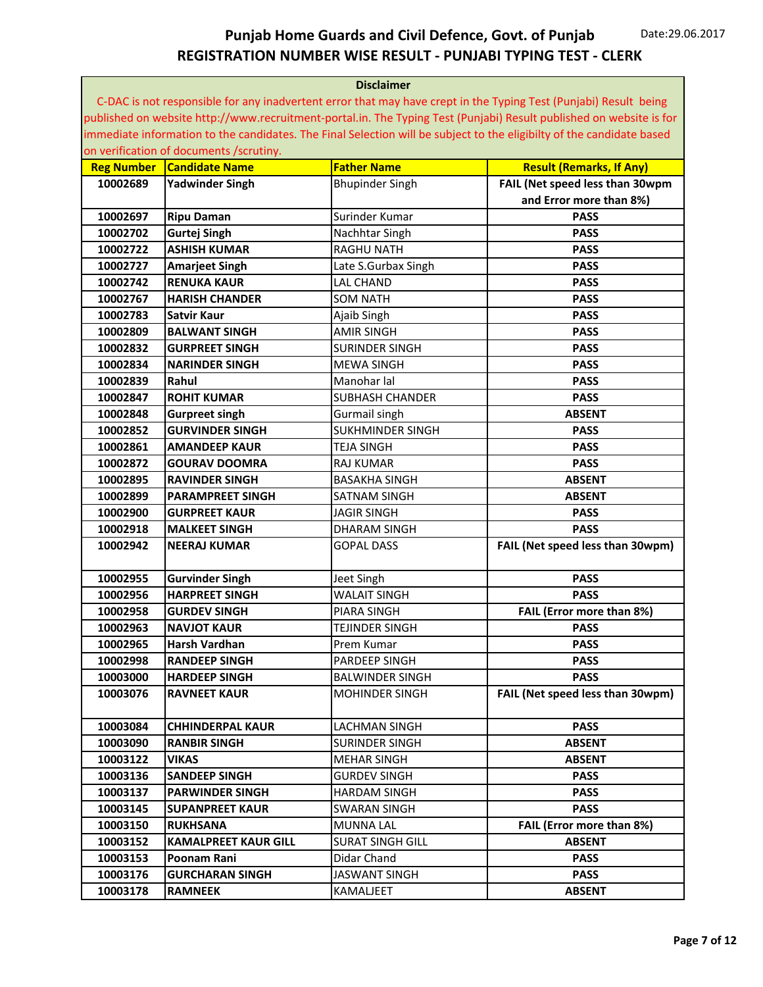| <b>Disclaimer</b>                                                                                                     |  |  |  |
|-----------------------------------------------------------------------------------------------------------------------|--|--|--|
| C-DAC is not responsible for any inadvertent error that may have crept in the Typing Test (Punjabi) Result being      |  |  |  |
| published on website http://www.recruitment-portal.in. The Typing Test (Punjabi) Result published on website is for   |  |  |  |
| immediate information to the candidates. The Final Selection will be subject to the eligibilty of the candidate based |  |  |  |
| on verification of documents /scrutiny.                                                                               |  |  |  |
| <b>Candidate Name</b><br><b>Father Name</b><br><b>Result (Remarks, If Any)</b><br><b>Reg Number</b>                   |  |  |  |
| <b>Yadwinder Singh</b><br>FAIL (Net speed less than 30wpm<br>10002689<br><b>Bhupinder Singh</b>                       |  |  |  |
| and Error more than 8%)                                                                                               |  |  |  |
| 10002697<br>Surinder Kumar<br><b>PASS</b><br><b>Ripu Daman</b>                                                        |  |  |  |
| 10002702<br><b>PASS</b><br><b>Gurtej Singh</b><br>Nachhtar Singh                                                      |  |  |  |
| 10002722<br><b>ASHISH KUMAR</b><br><b>RAGHU NATH</b><br><b>PASS</b>                                                   |  |  |  |
| <b>PASS</b><br>10002727<br><b>Amarjeet Singh</b><br>Late S.Gurbax Singh                                               |  |  |  |
| <b>RENUKA KAUR</b><br><b>LAL CHAND</b><br><b>PASS</b><br>10002742                                                     |  |  |  |
| 10002767<br><b>HARISH CHANDER</b><br><b>SOM NATH</b><br><b>PASS</b>                                                   |  |  |  |
| <b>PASS</b><br>10002783<br><b>Satvir Kaur</b><br>Ajaib Singh                                                          |  |  |  |
| 10002809<br><b>AMIR SINGH</b><br><b>PASS</b><br><b>BALWANT SINGH</b>                                                  |  |  |  |
| 10002832<br><b>GURPREET SINGH</b><br><b>SURINDER SINGH</b><br><b>PASS</b>                                             |  |  |  |
| 10002834<br><b>MEWA SINGH</b><br><b>PASS</b><br><b>NARINDER SINGH</b>                                                 |  |  |  |
| 10002839<br>Rahul<br>Manohar lal<br><b>PASS</b>                                                                       |  |  |  |
| 10002847<br><b>ROHIT KUMAR</b><br><b>SUBHASH CHANDER</b><br><b>PASS</b>                                               |  |  |  |
| 10002848<br><b>ABSENT</b><br><b>Gurpreet singh</b><br>Gurmail singh                                                   |  |  |  |
| SUKHMINDER SINGH<br>10002852<br><b>GURVINDER SINGH</b><br><b>PASS</b>                                                 |  |  |  |
| 10002861<br><b>PASS</b><br><b>AMANDEEP KAUR</b><br><b>TEJA SINGH</b>                                                  |  |  |  |
| 10002872<br><b>RAJ KUMAR</b><br><b>PASS</b><br><b>GOURAV DOOMRA</b>                                                   |  |  |  |
| 10002895<br><b>RAVINDER SINGH</b><br><b>BASAKHA SINGH</b><br><b>ABSENT</b>                                            |  |  |  |
| 10002899<br><b>PARAMPREET SINGH</b><br><b>SATNAM SINGH</b><br><b>ABSENT</b>                                           |  |  |  |
| 10002900<br><b>JAGIR SINGH</b><br><b>PASS</b><br><b>GURPREET KAUR</b>                                                 |  |  |  |
| 10002918<br><b>PASS</b><br><b>MALKEET SINGH</b><br><b>DHARAM SINGH</b>                                                |  |  |  |
| FAIL (Net speed less than 30wpm)<br>10002942<br><b>NEERAJ KUMAR</b><br><b>GOPAL DASS</b>                              |  |  |  |
|                                                                                                                       |  |  |  |
| 10002955<br><b>PASS</b><br><b>Gurvinder Singh</b><br>Jeet Singh                                                       |  |  |  |
| 10002956<br><b>HARPREET SINGH</b><br><b>WALAIT SINGH</b><br><b>PASS</b>                                               |  |  |  |
| 10002958<br>PIARA SINGH<br>FAIL (Error more than 8%)<br><b>GURDEV SINGH</b>                                           |  |  |  |
| 10002963<br><b>NAVJOT KAUR</b><br><b>TEJINDER SINGH</b><br><b>PASS</b>                                                |  |  |  |
| 10002965<br>Harsh Vardhan<br><b>PASS</b><br>Prem Kumar                                                                |  |  |  |
| 10002998<br>PARDEEP SINGH<br><b>PASS</b><br><b>RANDEEP SINGH</b>                                                      |  |  |  |
| 10003000<br><b>HARDEEP SINGH</b><br><b>BALWINDER SINGH</b><br><b>PASS</b>                                             |  |  |  |
| 10003076<br>FAIL (Net speed less than 30wpm)<br><b>RAVNEET KAUR</b><br><b>MOHINDER SINGH</b>                          |  |  |  |
|                                                                                                                       |  |  |  |
| 10003084<br><b>CHHINDERPAL KAUR</b><br>LACHMAN SINGH<br><b>PASS</b>                                                   |  |  |  |
| 10003090<br><b>RANBIR SINGH</b><br>SURINDER SINGH<br><b>ABSENT</b>                                                    |  |  |  |
| 10003122<br>VIKAS<br>MEHAR SINGH<br><b>ABSENT</b>                                                                     |  |  |  |
| 10003136<br><b>PASS</b><br><b>SANDEEP SINGH</b><br><b>GURDEV SINGH</b>                                                |  |  |  |
| 10003137<br><b>PARWINDER SINGH</b><br><b>HARDAM SINGH</b><br><b>PASS</b>                                              |  |  |  |
| 10003145<br><b>SUPANPREET KAUR</b><br><b>SWARAN SINGH</b><br><b>PASS</b>                                              |  |  |  |
| 10003150<br>FAIL (Error more than 8%)<br><b>RUKHSANA</b><br><b>MUNNA LAL</b>                                          |  |  |  |
| 10003152<br><b>SURAT SINGH GILL</b><br><b>KAMALPREET KAUR GILL</b><br><b>ABSENT</b>                                   |  |  |  |
| 10003153<br>Poonam Rani<br>Didar Chand<br><b>PASS</b>                                                                 |  |  |  |
| <b>JASWANT SINGH</b><br>10003176<br><b>GURCHARAN SINGH</b><br><b>PASS</b>                                             |  |  |  |
|                                                                                                                       |  |  |  |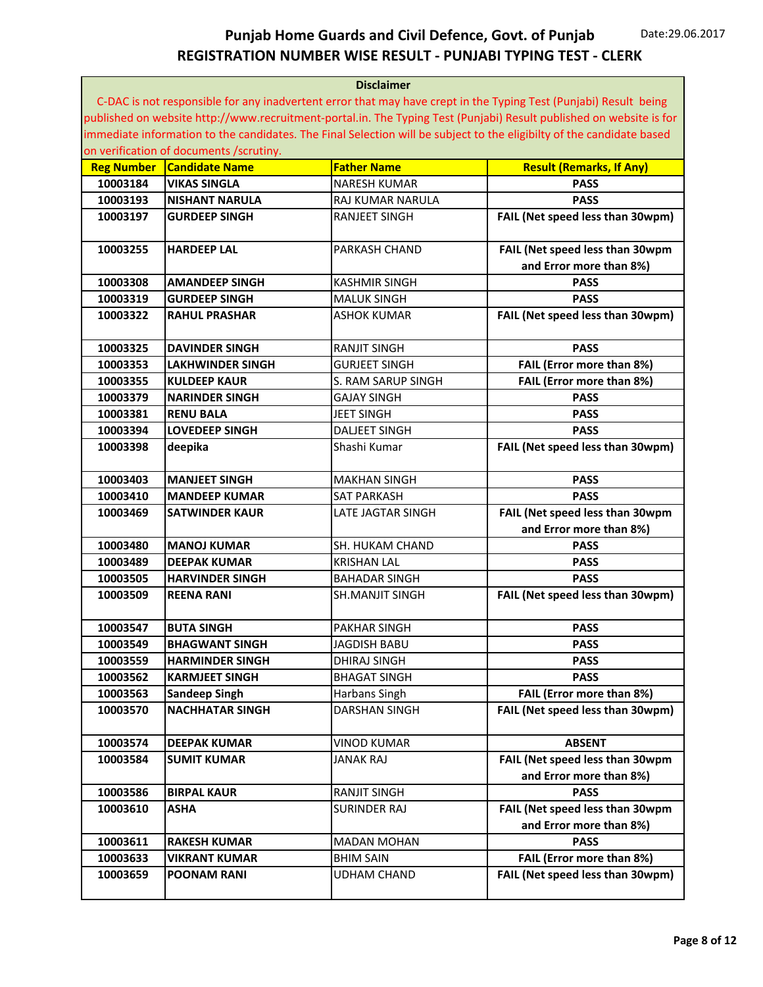|                   | <b>Disclaimer</b>                       |                          |                                                                                                                       |  |
|-------------------|-----------------------------------------|--------------------------|-----------------------------------------------------------------------------------------------------------------------|--|
|                   |                                         |                          | C-DAC is not responsible for any inadvertent error that may have crept in the Typing Test (Punjabi) Result being      |  |
|                   |                                         |                          | published on website http://www.recruitment-portal.in. The Typing Test (Punjabi) Result published on website is for   |  |
|                   |                                         |                          | immediate information to the candidates. The Final Selection will be subject to the eligibilty of the candidate based |  |
|                   | on verification of documents /scrutiny. |                          |                                                                                                                       |  |
| <b>Reg Number</b> | <b>Candidate Name</b>                   | <b>Father Name</b>       | <b>Result (Remarks, If Any)</b>                                                                                       |  |
| 10003184          | <b>VIKAS SINGLA</b>                     | <b>NARESH KUMAR</b>      | <b>PASS</b>                                                                                                           |  |
| 10003193          | <b>NISHANT NARULA</b>                   | <b>RAJ KUMAR NARULA</b>  | <b>PASS</b>                                                                                                           |  |
| 10003197          | <b>GURDEEP SINGH</b>                    | <b>RANJEET SINGH</b>     | FAIL (Net speed less than 30wpm)                                                                                      |  |
|                   |                                         |                          |                                                                                                                       |  |
| 10003255          | <b>HARDEEP LAL</b>                      | <b>PARKASH CHAND</b>     | FAIL (Net speed less than 30wpm                                                                                       |  |
|                   |                                         |                          | and Error more than 8%)                                                                                               |  |
| 10003308          | AMANDEEP SINGH                          | <b>KASHMIR SINGH</b>     | <b>PASS</b>                                                                                                           |  |
| 10003319          | <b>GURDEEP SINGH</b>                    | <b>MALUK SINGH</b>       | <b>PASS</b>                                                                                                           |  |
| 10003322          | <b>RAHUL PRASHAR</b>                    | <b>ASHOK KUMAR</b>       | FAIL (Net speed less than 30wpm)                                                                                      |  |
|                   |                                         |                          |                                                                                                                       |  |
| 10003325          | <b>DAVINDER SINGH</b>                   | <b>RANJIT SINGH</b>      | <b>PASS</b>                                                                                                           |  |
| 10003353          |                                         |                          |                                                                                                                       |  |
|                   | LAKHWINDER SINGH                        | <b>GURJEET SINGH</b>     | FAIL (Error more than 8%)                                                                                             |  |
| 10003355          | <b>KULDEEP KAUR</b>                     | S. RAM SARUP SINGH       | FAIL (Error more than 8%)                                                                                             |  |
| 10003379          | <b>NARINDER SINGH</b>                   | <b>GAJAY SINGH</b>       | <b>PASS</b>                                                                                                           |  |
| 10003381          | <b>RENU BALA</b>                        | <b>JEET SINGH</b>        | <b>PASS</b>                                                                                                           |  |
| 10003394          | <b>LOVEDEEP SINGH</b>                   | <b>DALJEET SINGH</b>     | <b>PASS</b>                                                                                                           |  |
| 10003398          | deepika                                 | Shashi Kumar             | FAIL (Net speed less than 30wpm)                                                                                      |  |
|                   |                                         |                          |                                                                                                                       |  |
| 10003403          | <b>MANJEET SINGH</b>                    | <b>MAKHAN SINGH</b>      | <b>PASS</b>                                                                                                           |  |
| 10003410          | <b>MANDEEP KUMAR</b>                    | <b>SAT PARKASH</b>       | <b>PASS</b>                                                                                                           |  |
| 10003469          | SATWINDER KAUR                          | <b>LATE JAGTAR SINGH</b> | FAIL (Net speed less than 30wpm                                                                                       |  |
|                   |                                         |                          | and Error more than 8%)                                                                                               |  |
| 10003480          | <b>MANOJ KUMAR</b>                      | SH. HUKAM CHAND          | <b>PASS</b>                                                                                                           |  |
| 10003489          | <b>DEEPAK KUMAR</b>                     | <b>KRISHAN LAL</b>       | <b>PASS</b>                                                                                                           |  |
| 10003505          | <b>HARVINDER SINGH</b>                  | <b>BAHADAR SINGH</b>     | <b>PASS</b>                                                                                                           |  |
| 10003509          | REENA RANI                              | <b>SH.MANJIT SINGH</b>   | FAIL (Net speed less than 30wpm)                                                                                      |  |
|                   |                                         |                          |                                                                                                                       |  |
| 10003547          | <b>BUTA SINGH</b>                       | <b>PAKHAR SINGH</b>      | <b>PASS</b>                                                                                                           |  |
| 10003549          | <b>BHAGWANT SINGH</b>                   | <b>JAGDISH BABU</b>      | <b>PASS</b>                                                                                                           |  |
| 10003559          | <b>HARMINDER SINGH</b>                  | DHIRAJ SINGH             | <b>PASS</b>                                                                                                           |  |
| 10003562          | <b>KARMJEET SINGH</b>                   | BHAGAT SINGH             | <b>PASS</b>                                                                                                           |  |
| 10003563          | <b>Sandeep Singh</b>                    | Harbans Singh            | FAIL (Error more than 8%)                                                                                             |  |
| 10003570          | <b>NACHHATAR SINGH</b>                  | DARSHAN SINGH            | FAIL (Net speed less than 30wpm)                                                                                      |  |
|                   |                                         |                          |                                                                                                                       |  |
| 10003574          | <b>DEEPAK KUMAR</b>                     | <b>VINOD KUMAR</b>       | <b>ABSENT</b>                                                                                                         |  |
| 10003584          | <b>SUMIT KUMAR</b>                      | <b>JANAK RAJ</b>         | FAIL (Net speed less than 30wpm                                                                                       |  |
|                   |                                         |                          | and Error more than 8%)                                                                                               |  |
| 10003586          | <b>BIRPAL KAUR</b>                      | <b>RANJIT SINGH</b>      | <b>PASS</b>                                                                                                           |  |
| 10003610          | ASHA                                    | <b>SURINDER RAJ</b>      | FAIL (Net speed less than 30wpm                                                                                       |  |
|                   |                                         |                          | and Error more than 8%)                                                                                               |  |
| 10003611          | <b>RAKESH KUMAR</b>                     | <b>MADAN MOHAN</b>       | <b>PASS</b>                                                                                                           |  |
| 10003633          | <b>VIKRANT KUMAR</b>                    | <b>BHIM SAIN</b>         | FAIL (Error more than 8%)                                                                                             |  |
| 10003659          | <b>POONAM RANI</b>                      | <b>UDHAM CHAND</b>       | FAIL (Net speed less than 30wpm)                                                                                      |  |
|                   |                                         |                          |                                                                                                                       |  |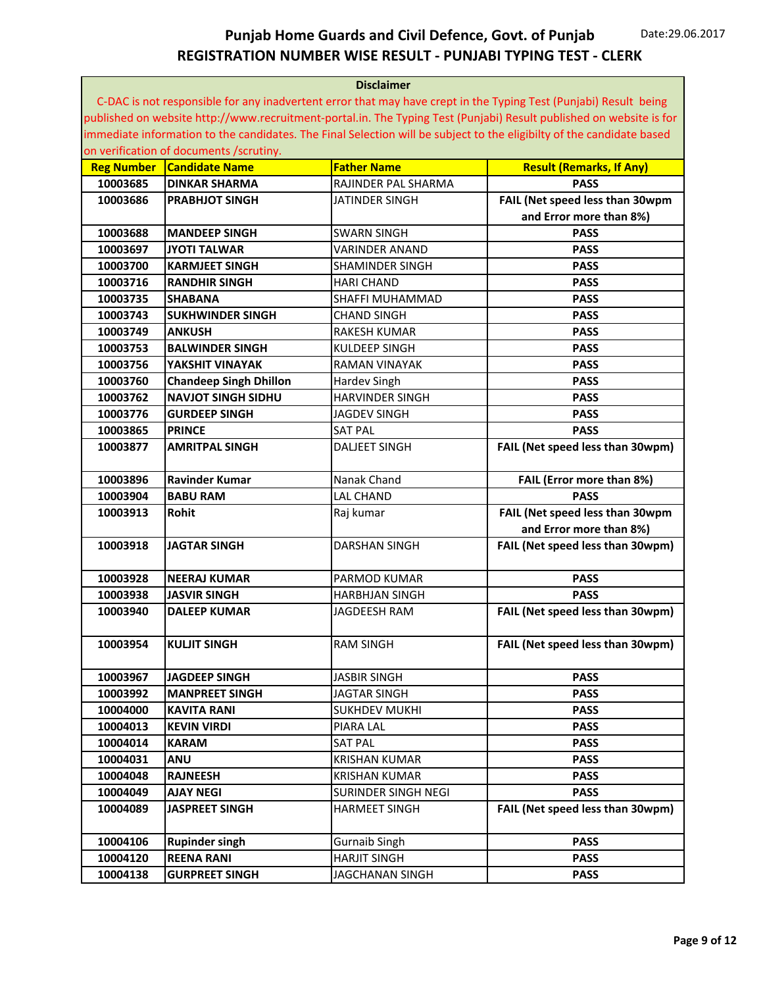| <b>Disclaimer</b> |                                                                                                                  |                        |                                                                                                                       |  |
|-------------------|------------------------------------------------------------------------------------------------------------------|------------------------|-----------------------------------------------------------------------------------------------------------------------|--|
|                   | C-DAC is not responsible for any inadvertent error that may have crept in the Typing Test (Punjabi) Result being |                        |                                                                                                                       |  |
|                   |                                                                                                                  |                        | published on website http://www.recruitment-portal.in. The Typing Test (Punjabi) Result published on website is for   |  |
|                   |                                                                                                                  |                        | immediate information to the candidates. The Final Selection will be subject to the eligibilty of the candidate based |  |
|                   | on verification of documents /scrutiny.                                                                          |                        |                                                                                                                       |  |
| <b>Reg Number</b> | <b>Candidate Name</b>                                                                                            | <b>Father Name</b>     | <b>Result (Remarks, If Any)</b>                                                                                       |  |
| 10003685          | <b>DINKAR SHARMA</b>                                                                                             | RAJINDER PAL SHARMA    | <b>PASS</b>                                                                                                           |  |
| 10003686          | <b>PRABHJOT SINGH</b>                                                                                            | JATINDER SINGH         | FAIL (Net speed less than 30wpm                                                                                       |  |
|                   |                                                                                                                  |                        | and Error more than 8%)                                                                                               |  |
| 10003688          | <b>MANDEEP SINGH</b>                                                                                             | <b>SWARN SINGH</b>     | <b>PASS</b>                                                                                                           |  |
| 10003697          | <b>JYOTI TALWAR</b>                                                                                              | <b>VARINDER ANAND</b>  | <b>PASS</b>                                                                                                           |  |
| 10003700          | <b>KARMJEET SINGH</b>                                                                                            | SHAMINDER SINGH        | <b>PASS</b>                                                                                                           |  |
| 10003716          | <b>RANDHIR SINGH</b>                                                                                             | <b>HARI CHAND</b>      | <b>PASS</b>                                                                                                           |  |
| 10003735          | <b>SHABANA</b>                                                                                                   | SHAFFI MUHAMMAD        | <b>PASS</b>                                                                                                           |  |
| 10003743          | <b>SUKHWINDER SINGH</b>                                                                                          | <b>CHAND SINGH</b>     | <b>PASS</b>                                                                                                           |  |
| 10003749          | <b>ANKUSH</b>                                                                                                    | <b>RAKESH KUMAR</b>    | <b>PASS</b>                                                                                                           |  |
| 10003753          | <b>BALWINDER SINGH</b>                                                                                           | KULDEEP SINGH          | <b>PASS</b>                                                                                                           |  |
| 10003756          | YAKSHIT VINAYAK                                                                                                  | RAMAN VINAYAK          | <b>PASS</b>                                                                                                           |  |
| 10003760          | <b>Chandeep Singh Dhillon</b>                                                                                    | Hardev Singh           | <b>PASS</b>                                                                                                           |  |
| 10003762          | <b>NAVJOT SINGH SIDHU</b>                                                                                        | <b>HARVINDER SINGH</b> | <b>PASS</b>                                                                                                           |  |
| 10003776          | <b>GURDEEP SINGH</b>                                                                                             | <b>JAGDEV SINGH</b>    | <b>PASS</b>                                                                                                           |  |
| 10003865          | <b>PRINCE</b>                                                                                                    | <b>SAT PAL</b>         | <b>PASS</b>                                                                                                           |  |
| 10003877          | <b>AMRITPAL SINGH</b>                                                                                            | <b>DALJEET SINGH</b>   | FAIL (Net speed less than 30wpm)                                                                                      |  |
|                   |                                                                                                                  |                        |                                                                                                                       |  |
| 10003896          | <b>Ravinder Kumar</b>                                                                                            | Nanak Chand            | FAIL (Error more than 8%)                                                                                             |  |
| 10003904          | <b>BABU RAM</b>                                                                                                  | <b>LAL CHAND</b>       | <b>PASS</b>                                                                                                           |  |
| 10003913          | <b>Rohit</b>                                                                                                     | Raj kumar              | FAIL (Net speed less than 30wpm                                                                                       |  |
|                   |                                                                                                                  |                        | and Error more than 8%)                                                                                               |  |
| 10003918          | <b>JAGTAR SINGH</b>                                                                                              | <b>DARSHAN SINGH</b>   | FAIL (Net speed less than 30wpm)                                                                                      |  |
|                   |                                                                                                                  |                        |                                                                                                                       |  |
| 10003928          | <b>NEERAJ KUMAR</b>                                                                                              | PARMOD KUMAR           | <b>PASS</b>                                                                                                           |  |
| 10003938          | <b>JASVIR SINGH</b>                                                                                              | <b>HARBHJAN SINGH</b>  | <b>PASS</b>                                                                                                           |  |
| 10003940          | <b>DALEEP KUMAR</b>                                                                                              | JAGDEESH RAM           | FAIL (Net speed less than 30wpm)                                                                                      |  |
|                   |                                                                                                                  |                        |                                                                                                                       |  |
| 10003954          | <b>KULJIT SINGH</b>                                                                                              | <b>RAM SINGH</b>       | FAIL (Net speed less than 30wpm)                                                                                      |  |
|                   |                                                                                                                  |                        |                                                                                                                       |  |
| 10003967          | <b>JAGDEEP SINGH</b>                                                                                             | JASBIR SINGH           | <b>PASS</b>                                                                                                           |  |
| 10003992          | <b>MANPREET SINGH</b>                                                                                            | JAGTAR SINGH           | <b>PASS</b>                                                                                                           |  |
| 10004000          | <b>KAVITA RANI</b>                                                                                               | <b>SUKHDEV MUKHI</b>   | <b>PASS</b>                                                                                                           |  |
| 10004013          | <b>KEVIN VIRDI</b>                                                                                               | PIARA LAL              | <b>PASS</b>                                                                                                           |  |
| 10004014          | <b>KARAM</b>                                                                                                     | SAT PAL                | <b>PASS</b>                                                                                                           |  |
| 10004031          | <b>ANU</b>                                                                                                       | <b>KRISHAN KUMAR</b>   | <b>PASS</b>                                                                                                           |  |
| 10004048          | <b>RAJNEESH</b>                                                                                                  | <b>KRISHAN KUMAR</b>   | <b>PASS</b>                                                                                                           |  |
| 10004049          | <b>AJAY NEGI</b>                                                                                                 | SURINDER SINGH NEGI    | <b>PASS</b>                                                                                                           |  |
| 10004089          | <b>JASPREET SINGH</b>                                                                                            | <b>HARMEET SINGH</b>   | FAIL (Net speed less than 30wpm)                                                                                      |  |
| 10004106          | <b>Rupinder singh</b>                                                                                            | Gurnaib Singh          | <b>PASS</b>                                                                                                           |  |
| 10004120          | <b>REENA RANI</b>                                                                                                | <b>HARJIT SINGH</b>    | <b>PASS</b>                                                                                                           |  |
| 10004138          | <b>GURPREET SINGH</b>                                                                                            | JAGCHANAN SINGH        | <b>PASS</b>                                                                                                           |  |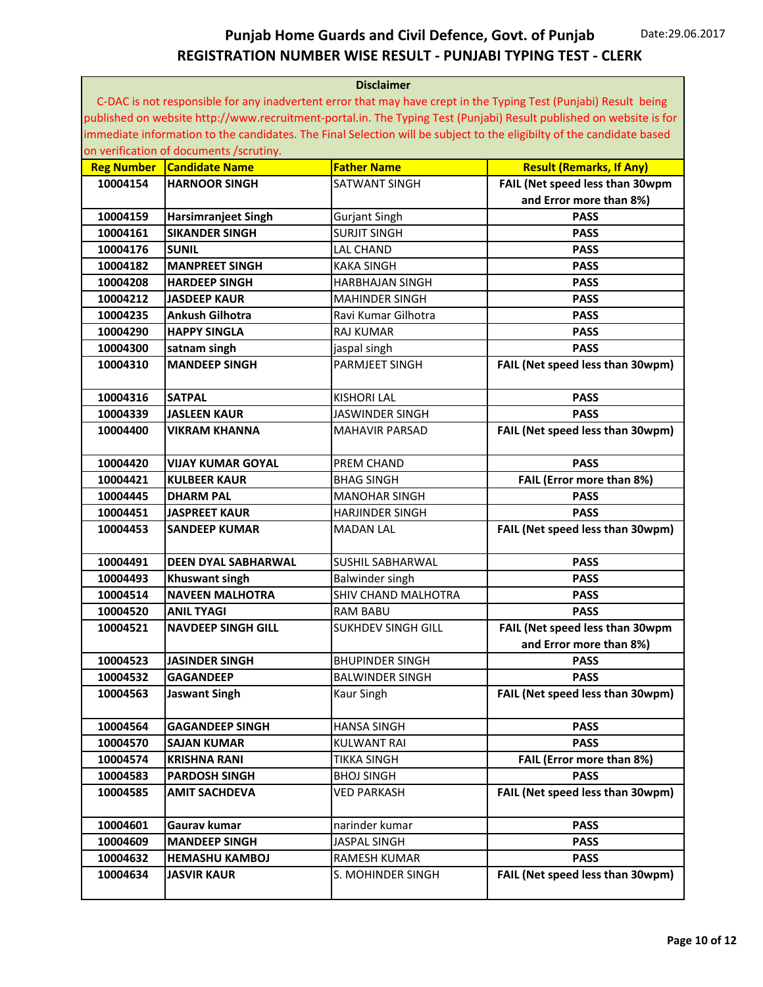|                   | <b>Disclaimer</b>                       |                           |                                                                                                                       |  |
|-------------------|-----------------------------------------|---------------------------|-----------------------------------------------------------------------------------------------------------------------|--|
|                   |                                         |                           | C-DAC is not responsible for any inadvertent error that may have crept in the Typing Test (Punjabi) Result being      |  |
|                   |                                         |                           | published on website http://www.recruitment-portal.in. The Typing Test (Punjabi) Result published on website is for   |  |
|                   |                                         |                           | immediate information to the candidates. The Final Selection will be subject to the eligibilty of the candidate based |  |
|                   | on verification of documents /scrutiny. |                           |                                                                                                                       |  |
| <b>Reg Number</b> | <b>Candidate Name</b>                   | <b>Father Name</b>        | <b>Result (Remarks, If Any)</b>                                                                                       |  |
| 10004154          | <b>HARNOOR SINGH</b>                    | SATWANT SINGH             | FAIL (Net speed less than 30wpm                                                                                       |  |
|                   |                                         |                           | and Error more than 8%)                                                                                               |  |
| 10004159          | <b>Harsimranjeet Singh</b>              | <b>Gurjant Singh</b>      | <b>PASS</b>                                                                                                           |  |
| 10004161          | <b>SIKANDER SINGH</b>                   | <b>SURJIT SINGH</b>       | <b>PASS</b>                                                                                                           |  |
| 10004176          | <b>SUNIL</b>                            | <b>LAL CHAND</b>          | <b>PASS</b>                                                                                                           |  |
| 10004182          | <b>MANPREET SINGH</b>                   | <b>KAKA SINGH</b>         | <b>PASS</b>                                                                                                           |  |
| 10004208          | <b>HARDEEP SINGH</b>                    | <b>HARBHAJAN SINGH</b>    | <b>PASS</b>                                                                                                           |  |
| 10004212          | <b>JASDEEP KAUR</b>                     | <b>MAHINDER SINGH</b>     | <b>PASS</b>                                                                                                           |  |
| 10004235          | <b>Ankush Gilhotra</b>                  | Ravi Kumar Gilhotra       | <b>PASS</b>                                                                                                           |  |
| 10004290          | <b>HAPPY SINGLA</b>                     | <b>RAJ KUMAR</b>          | <b>PASS</b>                                                                                                           |  |
| 10004300          | satnam singh                            | jaspal singh              | <b>PASS</b>                                                                                                           |  |
| 10004310          | <b>MANDEEP SINGH</b>                    | <b>PARMJEET SINGH</b>     | FAIL (Net speed less than 30wpm)                                                                                      |  |
|                   |                                         |                           |                                                                                                                       |  |
| 10004316          | <b>SATPAL</b>                           | <b>KISHORI LAL</b>        | <b>PASS</b>                                                                                                           |  |
| 10004339          | <b>JASLEEN KAUR</b>                     | <b>JASWINDER SINGH</b>    | <b>PASS</b>                                                                                                           |  |
| 10004400          | <b>VIKRAM KHANNA</b>                    | <b>MAHAVIR PARSAD</b>     | FAIL (Net speed less than 30wpm)                                                                                      |  |
|                   |                                         |                           |                                                                                                                       |  |
| 10004420          | <b>VIJAY KUMAR GOYAL</b>                | PREM CHAND                | <b>PASS</b>                                                                                                           |  |
| 10004421          | <b>KULBEER KAUR</b>                     | <b>BHAG SINGH</b>         | FAIL (Error more than 8%)                                                                                             |  |
| 10004445          | <b>DHARM PAL</b>                        | <b>MANOHAR SINGH</b>      | <b>PASS</b>                                                                                                           |  |
| 10004451          | <b>JASPREET KAUR</b>                    | <b>HARJINDER SINGH</b>    | <b>PASS</b>                                                                                                           |  |
| 10004453          | <b>SANDEEP KUMAR</b>                    | <b>MADAN LAL</b>          | FAIL (Net speed less than 30wpm)                                                                                      |  |
|                   |                                         |                           |                                                                                                                       |  |
| 10004491          | <b>DEEN DYAL SABHARWAL</b>              | <b>SUSHIL SABHARWAL</b>   | <b>PASS</b>                                                                                                           |  |
| 10004493          | <b>Khuswant singh</b>                   | Balwinder singh           | <b>PASS</b>                                                                                                           |  |
| 10004514          | <b>NAVEEN MALHOTRA</b>                  | SHIV CHAND MALHOTRA       | <b>PASS</b>                                                                                                           |  |
| 10004520          | <b>ANIL TYAGI</b>                       | <b>RAM BABU</b>           | <b>PASS</b>                                                                                                           |  |
| 10004521          | <b>NAVDEEP SINGH GILL</b>               | <b>SUKHDEV SINGH GILL</b> | FAIL (Net speed less than 30wpm                                                                                       |  |
|                   |                                         |                           | and Error more than 8%)                                                                                               |  |
| 10004523          | <b>JASINDER SINGH</b>                   | <b>BHUPINDER SINGH</b>    | <b>PASS</b>                                                                                                           |  |
| 10004532          | <b>GAGANDEEP</b>                        | <b>BALWINDER SINGH</b>    | <b>PASS</b>                                                                                                           |  |
| 10004563          | <b>Jaswant Singh</b>                    | Kaur Singh                | FAIL (Net speed less than 30wpm)                                                                                      |  |
|                   |                                         |                           |                                                                                                                       |  |
| 10004564          | <b>GAGANDEEP SINGH</b>                  | <b>HANSA SINGH</b>        | <b>PASS</b>                                                                                                           |  |
| 10004570          | <b>SAJAN KUMAR</b>                      | <b>KULWANT RAI</b>        | <b>PASS</b>                                                                                                           |  |
| 10004574          | <b>KRISHNA RANI</b>                     | <b>TIKKA SINGH</b>        | FAIL (Error more than 8%)                                                                                             |  |
| 10004583          | <b>PARDOSH SINGH</b>                    | <b>BHOJ SINGH</b>         | <b>PASS</b>                                                                                                           |  |
| 10004585          | <b>AMIT SACHDEVA</b>                    | <b>VED PARKASH</b>        | FAIL (Net speed less than 30wpm)                                                                                      |  |
|                   |                                         |                           |                                                                                                                       |  |
| 10004601          | Gaurav kumar                            | narinder kumar            | <b>PASS</b>                                                                                                           |  |
| 10004609          | <b>MANDEEP SINGH</b>                    | JASPAL SINGH              | <b>PASS</b>                                                                                                           |  |
| 10004632          | <b>HEMASHU KAMBOJ</b>                   | RAMESH KUMAR              | <b>PASS</b>                                                                                                           |  |
| 10004634          | <b>JASVIR KAUR</b>                      | S. MOHINDER SINGH         | FAIL (Net speed less than 30wpm)                                                                                      |  |
|                   |                                         |                           |                                                                                                                       |  |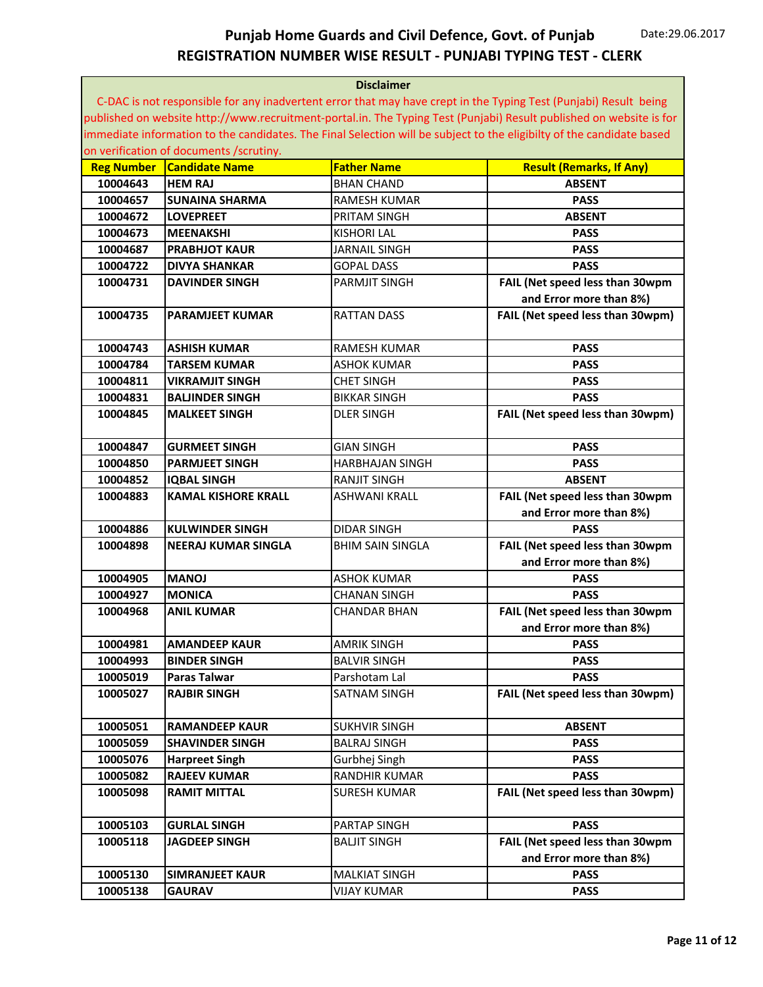| <b>Disclaimer</b> |                                         |                         |                                                                                                                       |
|-------------------|-----------------------------------------|-------------------------|-----------------------------------------------------------------------------------------------------------------------|
|                   |                                         |                         | C-DAC is not responsible for any inadvertent error that may have crept in the Typing Test (Punjabi) Result being      |
|                   |                                         |                         | published on website http://www.recruitment-portal.in. The Typing Test (Punjabi) Result published on website is for   |
|                   |                                         |                         | immediate information to the candidates. The Final Selection will be subject to the eligibilty of the candidate based |
|                   | on verification of documents /scrutiny. |                         |                                                                                                                       |
| <b>Reg Number</b> | <b>Candidate Name</b>                   | <b>Father Name</b>      | <b>Result (Remarks, If Any)</b>                                                                                       |
| 10004643          | <b>HEM RAJ</b>                          | <b>BHAN CHAND</b>       | <b>ABSENT</b>                                                                                                         |
| 10004657          | <b>SUNAINA SHARMA</b>                   | RAMESH KUMAR            | <b>PASS</b>                                                                                                           |
| 10004672          | <b>LOVEPREET</b>                        | PRITAM SINGH            | <b>ABSENT</b>                                                                                                         |
| 10004673          | <b>MEENAKSHI</b>                        | <b>KISHORI LAL</b>      | <b>PASS</b>                                                                                                           |
| 10004687          | <b>PRABHJOT KAUR</b>                    | <b>JARNAIL SINGH</b>    | <b>PASS</b>                                                                                                           |
| 10004722          | <b>DIVYA SHANKAR</b>                    | <b>GOPAL DASS</b>       | <b>PASS</b>                                                                                                           |
| 10004731          | <b>DAVINDER SINGH</b>                   | <b>PARMJIT SINGH</b>    | FAIL (Net speed less than 30wpm                                                                                       |
|                   |                                         |                         | and Error more than 8%)                                                                                               |
| 10004735          | <b>PARAMJEET KUMAR</b>                  | <b>RATTAN DASS</b>      | FAIL (Net speed less than 30wpm)                                                                                      |
|                   |                                         |                         |                                                                                                                       |
| 10004743          | <b>ASHISH KUMAR</b>                     | <b>RAMESH KUMAR</b>     | <b>PASS</b>                                                                                                           |
| 10004784          | <b>TARSEM KUMAR</b>                     | <b>ASHOK KUMAR</b>      | <b>PASS</b>                                                                                                           |
| 10004811          | <b>VIKRAMJIT SINGH</b>                  | <b>CHET SINGH</b>       | <b>PASS</b>                                                                                                           |
| 10004831          | <b>BALJINDER SINGH</b>                  | <b>BIKKAR SINGH</b>     | <b>PASS</b>                                                                                                           |
| 10004845          | <b>MALKEET SINGH</b>                    | <b>DLER SINGH</b>       | FAIL (Net speed less than 30wpm)                                                                                      |
|                   |                                         |                         |                                                                                                                       |
| 10004847          | <b>GURMEET SINGH</b>                    | <b>GIAN SINGH</b>       | <b>PASS</b>                                                                                                           |
| 10004850          | <b>PARMJEET SINGH</b>                   | <b>HARBHAJAN SINGH</b>  | <b>PASS</b>                                                                                                           |
| 10004852          | <b>IQBAL SINGH</b>                      | <b>RANJIT SINGH</b>     | <b>ABSENT</b>                                                                                                         |
| 10004883          | <b>KAMAL KISHORE KRALL</b>              | <b>ASHWANI KRALL</b>    | FAIL (Net speed less than 30wpm                                                                                       |
|                   |                                         |                         | and Error more than 8%)                                                                                               |
| 10004886          | <b>KULWINDER SINGH</b>                  | <b>DIDAR SINGH</b>      | <b>PASS</b>                                                                                                           |
| 10004898          | NEERAJ KUMAR SINGLA                     | <b>BHIM SAIN SINGLA</b> | FAIL (Net speed less than 30wpm                                                                                       |
|                   |                                         |                         | and Error more than 8%)                                                                                               |
| 10004905          | <b>IONAM</b>                            | <b>ASHOK KUMAR</b>      | <b>PASS</b>                                                                                                           |
| 10004927          | <b>MONICA</b>                           | <b>CHANAN SINGH</b>     | <b>PASS</b>                                                                                                           |
| 10004968          | <b>ANIL KUMAR</b>                       | CHANDAR BHAN            | FAIL (Net speed less than 30wpm                                                                                       |
|                   |                                         |                         | and Error more than 8%)                                                                                               |
| 10004981          | <b>AMANDEEP KAUR</b>                    | <b>AMRIK SINGH</b>      | <b>PASS</b>                                                                                                           |
| 10004993          | <b>BINDER SINGH</b>                     | <b>BALVIR SINGH</b>     | <b>PASS</b>                                                                                                           |
| 10005019          | <b>Paras Talwar</b>                     | Parshotam Lal           | <b>PASS</b>                                                                                                           |
| 10005027          | <b>RAJBIR SINGH</b>                     | SATNAM SINGH            | FAIL (Net speed less than 30wpm)                                                                                      |
|                   |                                         |                         |                                                                                                                       |
| 10005051          | <b>RAMANDEEP KAUR</b>                   | <b>SUKHVIR SINGH</b>    | <b>ABSENT</b>                                                                                                         |
| 10005059          | <b>SHAVINDER SINGH</b>                  | <b>BALRAJ SINGH</b>     | <b>PASS</b>                                                                                                           |
| 10005076          | <b>Harpreet Singh</b>                   | Gurbhej Singh           | <b>PASS</b>                                                                                                           |
| 10005082          | <b>RAJEEV KUMAR</b>                     | RANDHIR KUMAR           | <b>PASS</b>                                                                                                           |
| 10005098          | <b>RAMIT MITTAL</b>                     | <b>SURESH KUMAR</b>     | FAIL (Net speed less than 30wpm)                                                                                      |
|                   |                                         |                         |                                                                                                                       |
| 10005103          | <b>GURLAL SINGH</b>                     | PARTAP SINGH            | <b>PASS</b>                                                                                                           |
| 10005118          | <b>JAGDEEP SINGH</b>                    | <b>BALJIT SINGH</b>     | FAIL (Net speed less than 30wpm                                                                                       |
|                   |                                         |                         | and Error more than 8%)                                                                                               |
| 10005130          | <b>SIMRANJEET KAUR</b>                  | <b>MALKIAT SINGH</b>    | <b>PASS</b>                                                                                                           |
| 10005138          | <b>GAURAV</b>                           | <b>VIJAY KUMAR</b>      | <b>PASS</b>                                                                                                           |